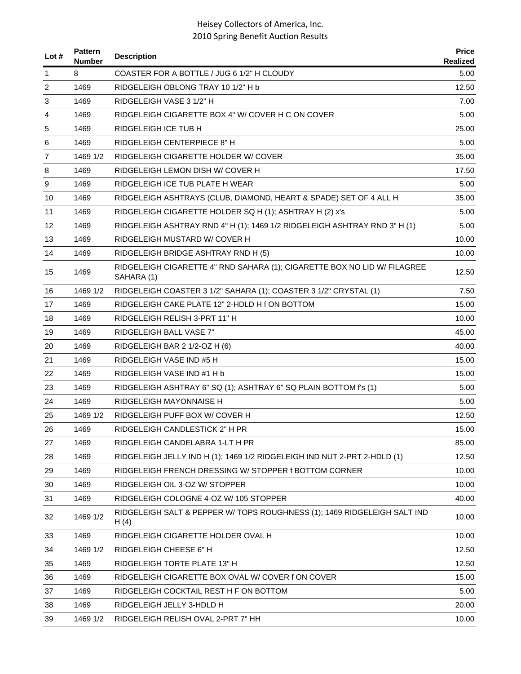| Lot # | <b>Pattern</b><br><b>Number</b> | <b>Description</b>                                                                     | <b>Price</b><br>Realized |
|-------|---------------------------------|----------------------------------------------------------------------------------------|--------------------------|
| 1     | 8                               | COASTER FOR A BOTTLE / JUG 6 1/2" H CLOUDY                                             | 5.00                     |
| 2     | 1469                            | RIDGELEIGH OBLONG TRAY 10 1/2" H b                                                     | 12.50                    |
| 3     | 1469                            | RIDGELEIGH VASE 3 1/2" H                                                               | 7.00                     |
| 4     | 1469                            | RIDGELEIGH CIGARETTE BOX 4" W/ COVER H C ON COVER                                      | 5.00                     |
| 5     | 1469                            | RIDGELEIGH ICE TUB H                                                                   | 25.00                    |
| 6     | 1469                            | RIDGELEIGH CENTERPIECE 8" H                                                            | 5.00                     |
| 7     | 1469 1/2                        | RIDGELEIGH CIGARETTE HOLDER W/ COVER                                                   | 35.00                    |
| 8     | 1469                            | RIDGELEIGH LEMON DISH W/ COVER H                                                       | 17.50                    |
| 9     | 1469                            | RIDGELEIGH ICE TUB PLATE H WEAR                                                        | 5.00                     |
| 10    | 1469                            | RIDGELEIGH ASHTRAYS (CLUB, DIAMOND, HEART & SPADE) SET OF 4 ALL H                      | 35.00                    |
| 11    | 1469                            | RIDGELEIGH CIGARETTE HOLDER SQ H (1); ASHTRAY H (2) x's                                | 5.00                     |
| 12    | 1469                            | RIDGELEIGH ASHTRAY RND 4" H (1); 1469 1/2 RIDGELEIGH ASHTRAY RND 3" H (1)              | 5.00                     |
| 13    | 1469                            | RIDGELEIGH MUSTARD W/ COVER H                                                          | 10.00                    |
| 14    | 1469                            | RIDGELEIGH BRIDGE ASHTRAY RND H (5)                                                    | 10.00                    |
| 15    | 1469                            | RIDGELEIGH CIGARETTE 4" RND SAHARA (1); CIGARETTE BOX NO LID W/ FILAGREE<br>SAHARA (1) | 12.50                    |
| 16    | 1469 1/2                        | RIDGELEIGH COASTER 3 1/2" SAHARA (1); COASTER 3 1/2" CRYSTAL (1)                       | 7.50                     |
| 17    | 1469                            | RIDGELEIGH CAKE PLATE 12" 2-HDLD H f ON BOTTOM                                         | 15.00                    |
| 18    | 1469                            | RIDGELEIGH RELISH 3-PRT 11" H                                                          | 10.00                    |
| 19    | 1469                            | <b>RIDGELEIGH BALL VASE 7"</b>                                                         | 45.00                    |
| 20    | 1469                            | RIDGELEIGH BAR 2 1/2-OZ H (6)                                                          | 40.00                    |
| 21    | 1469                            | RIDGELEIGH VASE IND #5 H                                                               | 15.00                    |
| 22    | 1469                            | RIDGELEIGH VASE IND #1 H b                                                             | 15.00                    |
| 23    | 1469                            | RIDGELEIGH ASHTRAY 6" SQ (1); ASHTRAY 6" SQ PLAIN BOTTOM f's (1)                       | 5.00                     |
| 24    | 1469                            | RIDGELEIGH MAYONNAISE H                                                                | 5.00                     |
| 25    | 1469 1/2                        | RIDGELEIGH PUFF BOX W/ COVER H                                                         | 12.50                    |
| 26    | 1469                            | RIDGELEIGH CANDLESTICK 2" H PR                                                         | 15.00                    |
| 27    | 1469                            | RIDGELEIGH CANDELABRA 1-LT H PR                                                        | 85.00                    |
| 28    | 1469                            | RIDGELEIGH JELLY IND H (1); 1469 1/2 RIDGELEIGH IND NUT 2-PRT 2-HDLD (1)               | 12.50                    |
| 29    | 1469                            | RIDGELEIGH FRENCH DRESSING W/ STOPPER f BOTTOM CORNER                                  | 10.00                    |
| 30    | 1469                            | RIDGELEIGH OIL 3-OZ W/ STOPPER                                                         | 10.00                    |
| 31    | 1469                            | RIDGELEIGH COLOGNE 4-OZ W/ 105 STOPPER                                                 | 40.00                    |
| 32    | 1469 1/2                        | RIDGELEIGH SALT & PEPPER W/ TOPS ROUGHNESS (1); 1469 RIDGELEIGH SALT IND<br>H(4)       | 10.00                    |
| 33    | 1469                            | RIDGELEIGH CIGARETTE HOLDER OVAL H                                                     | 10.00                    |
| 34    | 1469 1/2                        | RIDGELEIGH CHEESE 6" H                                                                 | 12.50                    |
| 35    | 1469                            | RIDGELEIGH TORTE PLATE 13" H                                                           | 12.50                    |
| 36    | 1469                            | RIDGELEIGH CIGARETTE BOX OVAL W/ COVER f ON COVER                                      | 15.00                    |
| 37    | 1469                            | RIDGELEIGH COCKTAIL REST H F ON BOTTOM                                                 | 5.00                     |
| 38    | 1469                            | RIDGELEIGH JELLY 3-HDLD H                                                              | 20.00                    |
| 39    | 1469 1/2                        | RIDGELEIGH RELISH OVAL 2-PRT 7" HH                                                     | 10.00                    |
|       |                                 |                                                                                        |                          |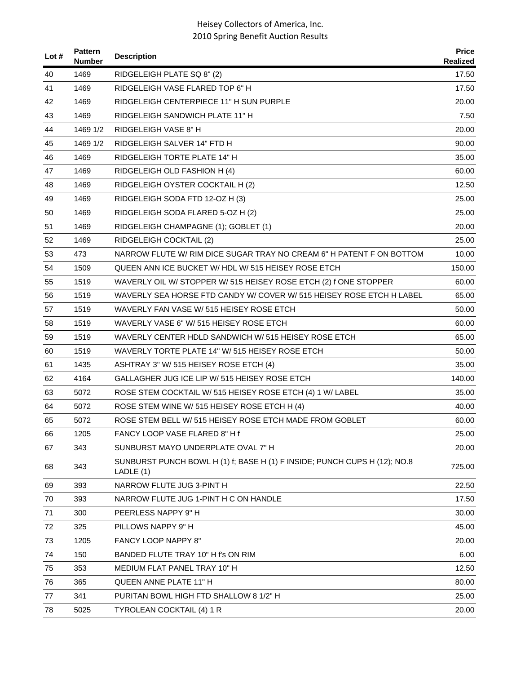| Lot # | <b>Pattern</b><br><b>Number</b> | <b>Description</b>                                                                     | <b>Price</b><br><b>Realized</b> |
|-------|---------------------------------|----------------------------------------------------------------------------------------|---------------------------------|
| 40    | 1469                            | RIDGELEIGH PLATE SQ 8" (2)                                                             | 17.50                           |
| 41    | 1469                            | RIDGELEIGH VASE FLARED TOP 6" H                                                        | 17.50                           |
| 42    | 1469                            | RIDGELEIGH CENTERPIECE 11" H SUN PURPLE                                                | 20.00                           |
| 43    | 1469                            | RIDGELEIGH SANDWICH PLATE 11" H                                                        | 7.50                            |
| 44    | 1469 1/2                        | RIDGELEIGH VASE 8" H                                                                   | 20.00                           |
| 45    | 1469 1/2                        | RIDGELEIGH SALVER 14" FTD H                                                            | 90.00                           |
| 46    | 1469                            | RIDGELEIGH TORTE PLATE 14" H                                                           | 35.00                           |
| 47    | 1469                            | RIDGELEIGH OLD FASHION H (4)                                                           | 60.00                           |
| 48    | 1469                            | RIDGELEIGH OYSTER COCKTAIL H (2)                                                       | 12.50                           |
| 49    | 1469                            | RIDGELEIGH SODA FTD 12-OZ H (3)                                                        | 25.00                           |
| 50    | 1469                            | RIDGELEIGH SODA FLARED 5-OZ H (2)                                                      | 25.00                           |
| 51    | 1469                            | RIDGELEIGH CHAMPAGNE (1); GOBLET (1)                                                   | 20.00                           |
| 52    | 1469                            | RIDGELEIGH COCKTAIL (2)                                                                | 25.00                           |
| 53    | 473                             | NARROW FLUTE W/ RIM DICE SUGAR TRAY NO CREAM 6" H PATENT F ON BOTTOM                   | 10.00                           |
| 54    | 1509                            | QUEEN ANN ICE BUCKET W/ HDL W/ 515 HEISEY ROSE ETCH                                    | 150.00                          |
| 55    | 1519                            | WAVERLY OIL W/ STOPPER W/ 515 HEISEY ROSE ETCH (2) f ONE STOPPER                       | 60.00                           |
| 56    | 1519                            | WAVERLY SEA HORSE FTD CANDY W/ COVER W/ 515 HEISEY ROSE ETCH H LABEL                   | 65.00                           |
| 57    | 1519                            | WAVERLY FAN VASE W/ 515 HEISEY ROSE ETCH                                               | 50.00                           |
| 58    | 1519                            | WAVERLY VASE 6" W/ 515 HEISEY ROSE ETCH                                                | 60.00                           |
| 59    | 1519                            | WAVERLY CENTER HDLD SANDWICH W/515 HEISEY ROSE ETCH                                    | 65.00                           |
| 60    | 1519                            | WAVERLY TORTE PLATE 14" W/ 515 HEISEY ROSE ETCH                                        | 50.00                           |
| 61    | 1435                            | ASHTRAY 3" W/ 515 HEISEY ROSE ETCH (4)                                                 | 35.00                           |
| 62    | 4164                            | GALLAGHER JUG ICE LIP W/ 515 HEISEY ROSE ETCH                                          | 140.00                          |
| 63    | 5072                            | ROSE STEM COCKTAIL W/ 515 HEISEY ROSE ETCH (4) 1 W/ LABEL                              | 35.00                           |
| 64    | 5072                            | ROSE STEM WINE W/ 515 HEISEY ROSE ETCH H (4)                                           | 40.00                           |
| 65    | 5072                            | ROSE STEM BELL W/515 HEISEY ROSE ETCH MADE FROM GOBLET                                 | 60.00                           |
| 66    | 1205                            | FANCY LOOP VASE FLARED 8" H f                                                          | 25.00                           |
| 67    | 343                             | SUNBURST MAYO UNDERPLATE OVAL 7" H                                                     | 20.00                           |
| 68    | 343                             | SUNBURST PUNCH BOWL H (1) f; BASE H (1) F INSIDE; PUNCH CUPS H (12); NO.8<br>LADLE (1) | 725.00                          |
| 69    | 393                             | NARROW FLUTE JUG 3-PINT H                                                              | 22.50                           |
| 70    | 393                             | NARROW FLUTE JUG 1-PINT H C ON HANDLE                                                  | 17.50                           |
| 71    | 300                             | PEERLESS NAPPY 9" H                                                                    | 30.00                           |
| 72    | 325                             | PILLOWS NAPPY 9" H                                                                     | 45.00                           |
| 73    | 1205                            | <b>FANCY LOOP NAPPY 8"</b>                                                             | 20.00                           |
| 74    | 150                             | BANDED FLUTE TRAY 10" H f's ON RIM                                                     | 6.00                            |
| 75    | 353                             | MEDIUM FLAT PANEL TRAY 10" H                                                           | 12.50                           |
| 76    | 365                             | QUEEN ANNE PLATE 11" H                                                                 | 80.00                           |
| 77    | 341                             | PURITAN BOWL HIGH FTD SHALLOW 8 1/2" H                                                 | 25.00                           |
| 78    | 5025                            | TYROLEAN COCKTAIL (4) 1 R                                                              | 20.00                           |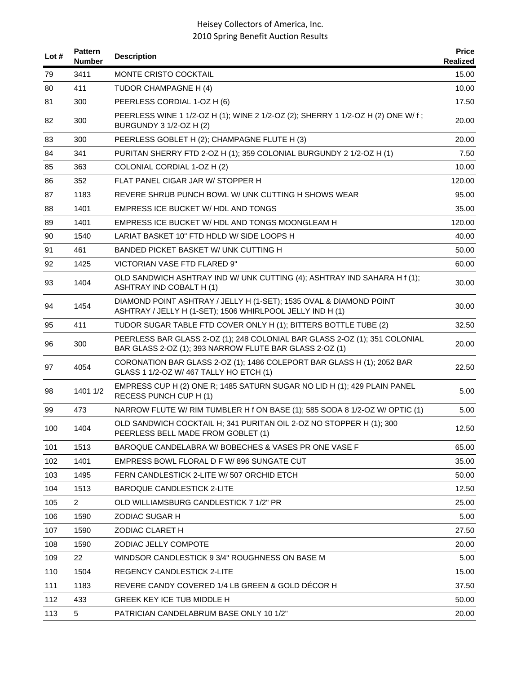| Lot $#$ | <b>Pattern</b><br><b>Number</b> | <b>Description</b>                                                                                                                    | <b>Price</b><br>Realized |
|---------|---------------------------------|---------------------------------------------------------------------------------------------------------------------------------------|--------------------------|
| 79      | 3411                            | MONTE CRISTO COCKTAIL                                                                                                                 | 15.00                    |
| 80      | 411                             | TUDOR CHAMPAGNE H (4)                                                                                                                 | 10.00                    |
| 81      | 300                             | PEERLESS CORDIAL 1-OZ H (6)                                                                                                           | 17.50                    |
| 82      | 300                             | PEERLESS WINE 1 1/2-OZ H (1); WINE 2 1/2-OZ (2); SHERRY 1 1/2-OZ H (2) ONE W/ f;<br>BURGUNDY 3 1/2-OZ H (2)                           | 20.00                    |
| 83      | 300                             | PEERLESS GOBLET H (2); CHAMPAGNE FLUTE H (3)                                                                                          | 20.00                    |
| 84      | 341                             | PURITAN SHERRY FTD 2-OZ H (1); 359 COLONIAL BURGUNDY 2 1/2-OZ H (1)                                                                   | 7.50                     |
| 85      | 363                             | COLONIAL CORDIAL 1-OZ H (2)                                                                                                           | 10.00                    |
| 86      | 352                             | FLAT PANEL CIGAR JAR W/ STOPPER H                                                                                                     | 120.00                   |
| 87      | 1183                            | REVERE SHRUB PUNCH BOWL W/ UNK CUTTING H SHOWS WEAR                                                                                   | 95.00                    |
| 88      | 1401                            | EMPRESS ICE BUCKET W/ HDL AND TONGS                                                                                                   | 35.00                    |
| 89      | 1401                            | EMPRESS ICE BUCKET W/ HDL AND TONGS MOONGLEAM H                                                                                       | 120.00                   |
| 90      | 1540                            | LARIAT BASKET 10" FTD HDLD W/ SIDE LOOPS H                                                                                            | 40.00                    |
| 91      | 461                             | BANDED PICKET BASKET W/ UNK CUTTING H                                                                                                 | 50.00                    |
| 92      | 1425                            | VICTORIAN VASE FTD FLARED 9"                                                                                                          | 60.00                    |
| 93      | 1404                            | OLD SANDWICH ASHTRAY IND W/ UNK CUTTING (4); ASHTRAY IND SAHARA H f (1);<br><b>ASHTRAY IND COBALT H (1)</b>                           | 30.00                    |
| 94      | 1454                            | DIAMOND POINT ASHTRAY / JELLY H (1-SET); 1535 OVAL & DIAMOND POINT<br>ASHTRAY / JELLY H (1-SET); 1506 WHIRLPOOL JELLY IND H (1)       | 30.00                    |
| 95      | 411                             | TUDOR SUGAR TABLE FTD COVER ONLY H (1); BITTERS BOTTLE TUBE (2)                                                                       | 32.50                    |
| 96      | 300                             | PEERLESS BAR GLASS 2-OZ (1); 248 COLONIAL BAR GLASS 2-OZ (1); 351 COLONIAL<br>BAR GLASS 2-OZ (1); 393 NARROW FLUTE BAR GLASS 2-OZ (1) | 20.00                    |
| 97      | 4054                            | CORONATION BAR GLASS 2-OZ (1); 1486 COLEPORT BAR GLASS H (1); 2052 BAR<br>GLASS 1 1/2-OZ W/ 467 TALLY HO ETCH (1)                     | 22.50                    |
| 98      | 1401 1/2                        | EMPRESS CUP H (2) ONE R; 1485 SATURN SUGAR NO LID H (1); 429 PLAIN PANEL<br>RECESS PUNCH CUP H (1)                                    | 5.00                     |
| 99      | 473                             | NARROW FLUTE W/ RIM TUMBLER H f ON BASE (1); 585 SODA 8 1/2-OZ W/ OPTIC (1)                                                           | 5.00                     |
| 100     | 1404                            | OLD SANDWICH COCKTAIL H; 341 PURITAN OIL 2-OZ NO STOPPER H (1); 300<br>PEERLESS BELL MADE FROM GOBLET (1)                             | 12.50                    |
| 101     | 1513                            | BAROQUE CANDELABRA W/BOBECHES & VASES PR ONE VASE F                                                                                   | 65.00                    |
| 102     | 1401                            | EMPRESS BOWL FLORAL D F W/896 SUNGATE CUT                                                                                             | 35.00                    |
| 103     | 1495                            | FERN CANDLESTICK 2-LITE W/ 507 ORCHID ETCH                                                                                            | 50.00                    |
| 104     | 1513                            | <b>BAROQUE CANDLESTICK 2-LITE</b>                                                                                                     | 12.50                    |
| 105     | $\overline{2}$                  | OLD WILLIAMSBURG CANDLESTICK 7 1/2" PR                                                                                                | 25.00                    |
| 106     | 1590                            | ZODIAC SUGAR H                                                                                                                        | 5.00                     |
| 107     | 1590                            | ZODIAC CLARET H                                                                                                                       | 27.50                    |
| 108     | 1590                            | ZODIAC JELLY COMPOTE                                                                                                                  | 20.00                    |
| 109     | 22                              | WINDSOR CANDLESTICK 9 3/4" ROUGHNESS ON BASE M                                                                                        | 5.00                     |
| 110     | 1504                            | <b>REGENCY CANDLESTICK 2-LITE</b>                                                                                                     | 15.00                    |
| 111     | 1183                            | REVERE CANDY COVERED 1/4 LB GREEN & GOLD DÉCOR H                                                                                      | 37.50                    |
| 112     | 433                             | <b>GREEK KEY ICE TUB MIDDLE H</b>                                                                                                     | 50.00                    |
| 113     | 5                               | PATRICIAN CANDELABRUM BASE ONLY 10 1/2"                                                                                               | 20.00                    |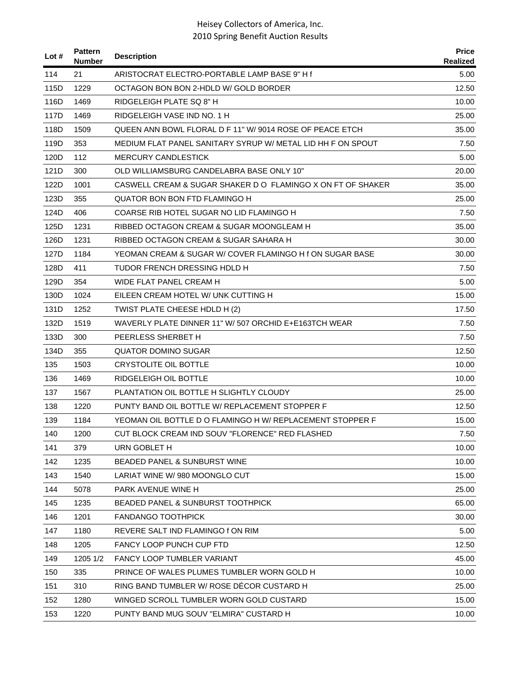| Lot $#$ | <b>Pattern</b><br><b>Number</b> | <b>Description</b>                                          | <b>Price</b><br>Realized |
|---------|---------------------------------|-------------------------------------------------------------|--------------------------|
| 114     | 21                              | ARISTOCRAT ELECTRO-PORTABLE LAMP BASE 9" H f                | 5.00                     |
| 115D    | 1229                            | OCTAGON BON BON 2-HDLD W/ GOLD BORDER                       | 12.50                    |
| 116D    | 1469                            | RIDGELEIGH PLATE SQ 8" H                                    | 10.00                    |
| 117D    | 1469                            | RIDGELEIGH VASE IND NO. 1 H                                 | 25.00                    |
| 118D    | 1509                            | QUEEN ANN BOWL FLORAL D F 11" W/9014 ROSE OF PEACE ETCH     | 35.00                    |
| 119D    | 353                             | MEDIUM FLAT PANEL SANITARY SYRUP W/ METAL LID HH F ON SPOUT | 7.50                     |
| 120D    | 112                             | <b>MERCURY CANDLESTICK</b>                                  | 5.00                     |
| 121D    | 300                             | OLD WILLIAMSBURG CANDELABRA BASE ONLY 10"                   | 20.00                    |
| 122D    | 1001                            | CASWELL CREAM & SUGAR SHAKER D O FLAMINGO X ON FT OF SHAKER | 35.00                    |
| 123D    | 355                             | QUATOR BON BON FTD FLAMINGO H                               | 25.00                    |
| 124D    | 406                             | COARSE RIB HOTEL SUGAR NO LID FLAMINGO H                    | 7.50                     |
| 125D    | 1231                            | RIBBED OCTAGON CREAM & SUGAR MOONGLEAM H                    | 35.00                    |
| 126D    | 1231                            | RIBBED OCTAGON CREAM & SUGAR SAHARA H                       | 30.00                    |
| 127D    | 1184                            | YEOMAN CREAM & SUGAR W/ COVER FLAMINGO H f ON SUGAR BASE    | 30.00                    |
| 128D    | 411                             | TUDOR FRENCH DRESSING HDLD H                                | 7.50                     |
| 129D    | 354                             | WIDE FLAT PANEL CREAM H                                     | 5.00                     |
| 130D    | 1024                            | EILEEN CREAM HOTEL W/ UNK CUTTING H                         | 15.00                    |
| 131D    | 1252                            | TWIST PLATE CHEESE HDLD H (2)                               | 17.50                    |
| 132D    | 1519                            | WAVERLY PLATE DINNER 11" W/ 507 ORCHID E+E163TCH WEAR       | 7.50                     |
| 133D    | 300                             | PEERLESS SHERBET H                                          | 7.50                     |
| 134D    | 355                             | QUATOR DOMINO SUGAR                                         | 12.50                    |
| 135     | 1503                            | <b>CRYSTOLITE OIL BOTTLE</b>                                | 10.00                    |
| 136     | 1469                            | <b>RIDGELEIGH OIL BOTTLE</b>                                | 10.00                    |
| 137     | 1567                            | PLANTATION OIL BOTTLE H SLIGHTLY CLOUDY                     | 25.00                    |
| 138     | 1220                            | PUNTY BAND OIL BOTTLE W/ REPLACEMENT STOPPER F              | 12.50                    |
| 139     | 1184                            | YEOMAN OIL BOTTLE D O FLAMINGO H W/ REPLACEMENT STOPPER F   | 15.00                    |
| 140     | 1200                            | CUT BLOCK CREAM IND SOUV "FLORENCE" RED FLASHED             | 7.50                     |
| 141     | 379                             | URN GOBLET H                                                | 10.00                    |
| 142     | 1235                            | BEADED PANEL & SUNBURST WINE                                | 10.00                    |
| 143     | 1540                            | LARIAT WINE W/980 MOONGLO CUT                               | 15.00                    |
| 144     | 5078                            | PARK AVENUE WINE H                                          | 25.00                    |
| 145     | 1235                            | <b>BEADED PANEL &amp; SUNBURST TOOTHPICK</b>                | 65.00                    |
| 146     | 1201                            | <b>FANDANGO TOOTHPICK</b>                                   | 30.00                    |
| 147     | 1180                            | REVERE SALT IND FLAMINGO f ON RIM                           | 5.00                     |
| 148     | 1205                            | FANCY LOOP PUNCH CUP FTD                                    | 12.50                    |
| 149     | 1205 1/2                        | <b>FANCY LOOP TUMBLER VARIANT</b>                           | 45.00                    |
| 150     | 335                             | PRINCE OF WALES PLUMES TUMBLER WORN GOLD H                  | 10.00                    |
| 151     | 310                             | RING BAND TUMBLER W/ ROSE DÉCOR CUSTARD H                   | 25.00                    |
| 152     | 1280                            | WINGED SCROLL TUMBLER WORN GOLD CUSTARD                     | 15.00                    |
| 153     | 1220                            | PUNTY BAND MUG SOUV "ELMIRA" CUSTARD H                      | 10.00                    |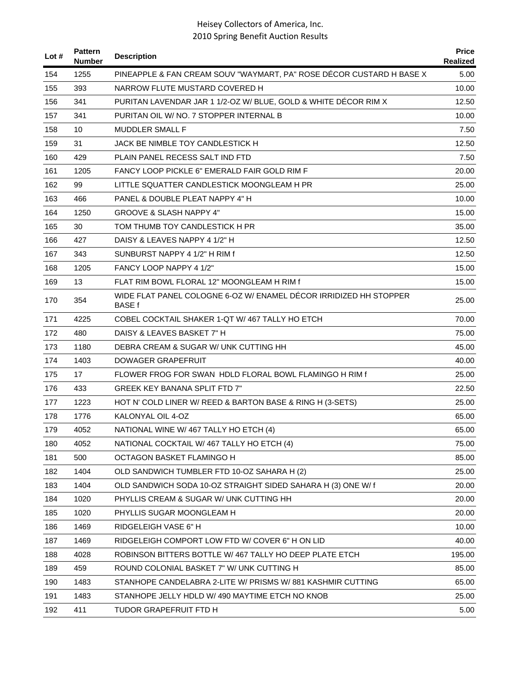| Lot $#$ | <b>Pattern</b><br><b>Number</b> | <b>Description</b>                                                                 | <b>Price</b><br>Realized |
|---------|---------------------------------|------------------------------------------------------------------------------------|--------------------------|
| 154     | 1255                            | PINEAPPLE & FAN CREAM SOUV "WAYMART, PA" ROSE DÉCOR CUSTARD H BASE X               | 5.00                     |
| 155     | 393                             | NARROW FLUTE MUSTARD COVERED H                                                     | 10.00                    |
| 156     | 341                             | PURITAN LAVENDAR JAR 1 1/2-OZ W/ BLUE, GOLD & WHITE DECOR RIM X                    | 12.50                    |
| 157     | 341                             | PURITAN OIL W/ NO. 7 STOPPER INTERNAL B                                            | 10.00                    |
| 158     | 10                              | <b>MUDDLER SMALL F</b>                                                             | 7.50                     |
| 159     | 31                              | JACK BE NIMBLE TOY CANDLESTICK H                                                   | 12.50                    |
| 160     | 429                             | PLAIN PANEL RECESS SALT IND FTD                                                    | 7.50                     |
| 161     | 1205                            | FANCY LOOP PICKLE 6" EMERALD FAIR GOLD RIM F                                       | 20.00                    |
| 162     | 99                              | LITTLE SQUATTER CANDLESTICK MOONGLEAM H PR                                         | 25.00                    |
| 163     | 466                             | PANEL & DOUBLE PLEAT NAPPY 4" H                                                    | 10.00                    |
| 164     | 1250                            | <b>GROOVE &amp; SLASH NAPPY 4"</b>                                                 | 15.00                    |
| 165     | 30                              | TOM THUMB TOY CANDLESTICK H PR                                                     | 35.00                    |
| 166     | 427                             | DAISY & LEAVES NAPPY 4 1/2" H                                                      | 12.50                    |
| 167     | 343                             | SUNBURST NAPPY 4 1/2" H RIM f                                                      | 12.50                    |
| 168     | 1205                            | FANCY LOOP NAPPY 4 1/2"                                                            | 15.00                    |
| 169     | 13                              | FLAT RIM BOWL FLORAL 12" MOONGLEAM H RIM f                                         | 15.00                    |
| 170     | 354                             | WIDE FLAT PANEL COLOGNE 6-OZ W/ ENAMEL DÉCOR IRRIDIZED HH STOPPER<br><b>BASE f</b> | 25.00                    |
| 171     | 4225                            | COBEL COCKTAIL SHAKER 1-QT W/467 TALLY HO ETCH                                     | 70.00                    |
| 172     | 480                             | DAISY & LEAVES BASKET 7" H                                                         | 75.00                    |
| 173     | 1180                            | DEBRA CREAM & SUGAR W/ UNK CUTTING HH                                              | 45.00                    |
| 174     | 1403                            | DOWAGER GRAPEFRUIT                                                                 | 40.00                    |
| 175     | 17                              | FLOWER FROG FOR SWAN HDLD FLORAL BOWL FLAMINGO H RIM f                             | 25.00                    |
| 176     | 433                             | <b>GREEK KEY BANANA SPLIT FTD 7"</b>                                               | 22.50                    |
| 177     | 1223                            | HOT N' COLD LINER W/ REED & BARTON BASE & RING H (3-SETS)                          | 25.00                    |
| 178     | 1776                            | KALONYAL OIL 4-OZ                                                                  | 65.00                    |
| 179     | 4052                            | NATIONAL WINE W/ 467 TALLY HO ETCH (4)                                             | 65.00                    |
| 180     | 4052                            | NATIONAL COCKTAIL W/467 TALLY HO ETCH (4)                                          | 75.00                    |
| 181     | 500                             | OCTAGON BASKET FLAMINGO H                                                          | 85.00                    |
| 182     | 1404                            | OLD SANDWICH TUMBLER FTD 10-OZ SAHARA H (2)                                        | 25.00                    |
| 183     | 1404                            | OLD SANDWICH SODA 10-OZ STRAIGHT SIDED SAHARA H (3) ONE W/ f                       | 20.00                    |
| 184     | 1020                            | PHYLLIS CREAM & SUGAR W/ UNK CUTTING HH                                            | 20.00                    |
| 185     | 1020                            | PHYLLIS SUGAR MOONGLEAM H                                                          | 20.00                    |
| 186     | 1469                            | RIDGELEIGH VASE 6" H                                                               | 10.00                    |
| 187     | 1469                            | RIDGELEIGH COMPORT LOW FTD W/ COVER 6" H ON LID                                    | 40.00                    |
| 188     | 4028                            | ROBINSON BITTERS BOTTLE W/ 467 TALLY HO DEEP PLATE ETCH                            | 195.00                   |
| 189     | 459                             | ROUND COLONIAL BASKET 7" W/ UNK CUTTING H                                          | 85.00                    |
| 190     | 1483                            | STANHOPE CANDELABRA 2-LITE W/ PRISMS W/881 KASHMIR CUTTING                         | 65.00                    |
| 191     | 1483                            | STANHOPE JELLY HDLD W/ 490 MAYTIME ETCH NO KNOB                                    | 25.00                    |
| 192     | 411                             | <b>TUDOR GRAPEFRUIT FTD H</b>                                                      | 5.00                     |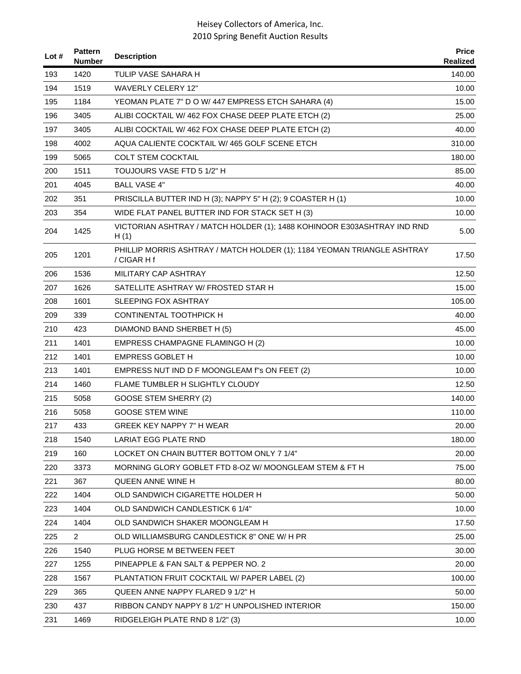| Lot $#$ | <b>Pattern</b><br><b>Number</b> | <b>Description</b>                                                                     | <b>Price</b><br>Realized |
|---------|---------------------------------|----------------------------------------------------------------------------------------|--------------------------|
| 193     | 1420                            | TULIP VASE SAHARA H                                                                    | 140.00                   |
| 194     | 1519                            | <b>WAVERLY CELERY 12"</b>                                                              | 10.00                    |
| 195     | 1184                            | YEOMAN PLATE 7" D O W/ 447 EMPRESS ETCH SAHARA (4)                                     | 15.00                    |
| 196     | 3405                            | ALIBI COCKTAIL W/462 FOX CHASE DEEP PLATE ETCH (2)                                     | 25.00                    |
| 197     | 3405                            | ALIBI COCKTAIL W/462 FOX CHASE DEEP PLATE ETCH (2)                                     | 40.00                    |
| 198     | 4002                            | AQUA CALIENTE COCKTAIL W/465 GOLF SCENE ETCH                                           | 310.00                   |
| 199     | 5065                            | <b>COLT STEM COCKTAIL</b>                                                              | 180.00                   |
| 200     | 1511                            | TOUJOURS VASE FTD 5 1/2" H                                                             | 85.00                    |
| 201     | 4045                            | <b>BALL VASE 4"</b>                                                                    | 40.00                    |
| 202     | 351                             | PRISCILLA BUTTER IND H (3); NAPPY 5" H (2); 9 COASTER H (1)                            | 10.00                    |
| 203     | 354                             | WIDE FLAT PANEL BUTTER IND FOR STACK SET H (3)                                         | 10.00                    |
| 204     | 1425                            | VICTORIAN ASHTRAY / MATCH HOLDER (1); 1488 KOHINOOR E303ASHTRAY IND RND<br>H(1)        | 5.00                     |
| 205     | 1201                            | PHILLIP MORRIS ASHTRAY / MATCH HOLDER (1); 1184 YEOMAN TRIANGLE ASHTRAY<br>/ CIGAR H f | 17.50                    |
| 206     | 1536                            | MILITARY CAP ASHTRAY                                                                   | 12.50                    |
| 207     | 1626                            | SATELLITE ASHTRAY W/ FROSTED STAR H                                                    | 15.00                    |
| 208     | 1601                            | <b>SLEEPING FOX ASHTRAY</b>                                                            | 105.00                   |
| 209     | 339                             | <b>CONTINENTAL TOOTHPICK H</b>                                                         | 40.00                    |
| 210     | 423                             | DIAMOND BAND SHERBET H (5)                                                             | 45.00                    |
| 211     | 1401                            | EMPRESS CHAMPAGNE FLAMINGO H (2)                                                       | 10.00                    |
| 212     | 1401                            | <b>EMPRESS GOBLET H</b>                                                                | 10.00                    |
| 213     | 1401                            | EMPRESS NUT IND D F MOONGLEAM f"s ON FEET (2)                                          | 10.00                    |
| 214     | 1460                            | FLAME TUMBLER H SLIGHTLY CLOUDY                                                        | 12.50                    |
| 215     | 5058                            | <b>GOOSE STEM SHERRY (2)</b>                                                           | 140.00                   |
| 216     | 5058                            | <b>GOOSE STEM WINE</b>                                                                 | 110.00                   |
| 217     | 433                             | GREEK KEY NAPPY 7" H WEAR                                                              | 20.00                    |
| 218     | 1540                            | LARIAT EGG PLATE RND                                                                   | 180.00                   |
| 219     | 160                             | LOCKET ON CHAIN BUTTER BOTTOM ONLY 7 1/4"                                              | 20.00                    |
| 220     | 3373                            | MORNING GLORY GOBLET FTD 8-OZ W/ MOONGLEAM STEM & FT H                                 | 75.00                    |
| 221     | 367                             | <b>QUEEN ANNE WINE H</b>                                                               | 80.00                    |
| 222     | 1404                            | OLD SANDWICH CIGARETTE HOLDER H                                                        | 50.00                    |
| 223     | 1404                            | OLD SANDWICH CANDLESTICK 6 1/4"                                                        | 10.00                    |
| 224     | 1404                            | OLD SANDWICH SHAKER MOONGLEAM H                                                        | 17.50                    |
| 225     | $\overline{2}$                  | OLD WILLIAMSBURG CANDLESTICK 8" ONE W/ H PR                                            | 25.00                    |
| 226     | 1540                            | PLUG HORSE M BETWEEN FEET                                                              | 30.00                    |
| 227     | 1255                            | PINEAPPLE & FAN SALT & PEPPER NO. 2                                                    | 20.00                    |
| 228     | 1567                            | PLANTATION FRUIT COCKTAIL W/ PAPER LABEL (2)                                           | 100.00                   |
| 229     | 365                             | QUEEN ANNE NAPPY FLARED 9 1/2" H                                                       | 50.00                    |
| 230     | 437                             | RIBBON CANDY NAPPY 8 1/2" H UNPOLISHED INTERIOR                                        | 150.00                   |
| 231     | 1469                            | RIDGELEIGH PLATE RND 8 1/2" (3)                                                        | 10.00                    |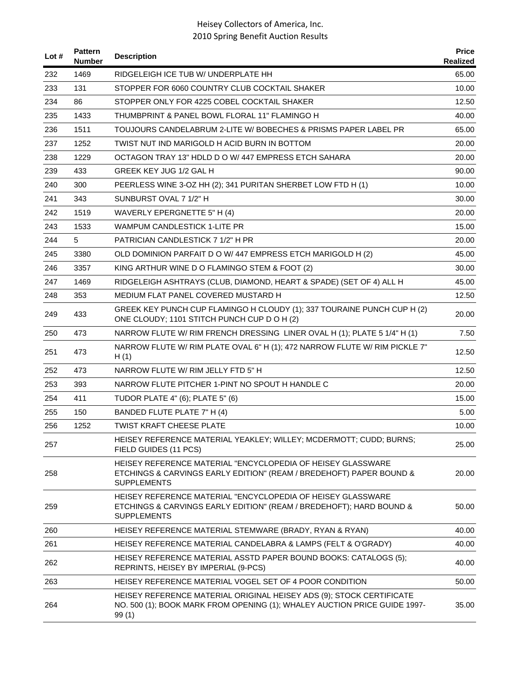| Lot # | <b>Pattern</b><br><b>Number</b> | <b>Description</b>                                                                                                                                         | <b>Price</b><br>Realized |
|-------|---------------------------------|------------------------------------------------------------------------------------------------------------------------------------------------------------|--------------------------|
| 232   | 1469                            | RIDGELEIGH ICE TUB W/ UNDERPLATE HH                                                                                                                        | 65.00                    |
| 233   | 131                             | STOPPER FOR 6060 COUNTRY CLUB COCKTAIL SHAKER                                                                                                              | 10.00                    |
| 234   | 86                              | STOPPER ONLY FOR 4225 COBEL COCKTAIL SHAKER                                                                                                                | 12.50                    |
| 235   | 1433                            | THUMBPRINT & PANEL BOWL FLORAL 11" FLAMINGO H                                                                                                              | 40.00                    |
| 236   | 1511                            | TOUJOURS CANDELABRUM 2-LITE W/ BOBECHES & PRISMS PAPER LABEL PR                                                                                            | 65.00                    |
| 237   | 1252                            | TWIST NUT IND MARIGOLD H ACID BURN IN BOTTOM                                                                                                               | 20.00                    |
| 238   | 1229                            | OCTAGON TRAY 13" HDLD D O W/ 447 EMPRESS ETCH SAHARA                                                                                                       | 20.00                    |
| 239   | 433                             | GREEK KEY JUG 1/2 GAL H                                                                                                                                    | 90.00                    |
| 240   | 300                             | PEERLESS WINE 3-OZ HH (2); 341 PURITAN SHERBET LOW FTD H (1)                                                                                               | 10.00                    |
| 241   | 343                             | SUNBURST OVAL 7 1/2" H                                                                                                                                     | 30.00                    |
| 242   | 1519                            | WAVERLY EPERGNETTE 5" H (4)                                                                                                                                | 20.00                    |
| 243   | 1533                            | <b>WAMPUM CANDLESTICK 1-LITE PR</b>                                                                                                                        | 15.00                    |
| 244   | 5                               | PATRICIAN CANDLESTICK 7 1/2" H PR                                                                                                                          | 20.00                    |
| 245   | 3380                            | OLD DOMINION PARFAIT D O W/ 447 EMPRESS ETCH MARIGOLD H (2)                                                                                                | 45.00                    |
| 246   | 3357                            | KING ARTHUR WINE D O FLAMINGO STEM & FOOT (2)                                                                                                              | 30.00                    |
| 247   | 1469                            | RIDGELEIGH ASHTRAYS (CLUB, DIAMOND, HEART & SPADE) (SET OF 4) ALL H                                                                                        | 45.00                    |
| 248   | 353                             | MEDIUM FLAT PANEL COVERED MUSTARD H                                                                                                                        | 12.50                    |
| 249   | 433                             | GREEK KEY PUNCH CUP FLAMINGO H CLOUDY (1); 337 TOURAINE PUNCH CUP H (2)<br>ONE CLOUDY; 1101 STITCH PUNCH CUP D O H (2)                                     | 20.00                    |
| 250   | 473                             | NARROW FLUTE W/ RIM FRENCH DRESSING LINER OVAL H (1); PLATE 5 1/4" H (1)                                                                                   | 7.50                     |
| 251   | 473                             | NARROW FLUTE W/ RIM PLATE OVAL 6" H (1); 472 NARROW FLUTE W/ RIM PICKLE 7"<br>H(1)                                                                         | 12.50                    |
| 252   | 473                             | NARROW FLUTE W/RIM JELLY FTD 5"H                                                                                                                           | 12.50                    |
| 253   | 393                             | NARROW FLUTE PITCHER 1-PINT NO SPOUT H HANDLE C                                                                                                            | 20.00                    |
| 254   | 411                             | TUDOR PLATE 4" (6); PLATE 5" (6)                                                                                                                           | 15.00                    |
| 255   | 150                             | BANDED FLUTE PLATE 7" H (4)                                                                                                                                | 5.00                     |
| 256   | 1252                            | TWIST KRAFT CHEESE PLATE                                                                                                                                   | 10.00                    |
| 257   |                                 | HEISEY REFERENCE MATERIAL YEAKLEY; WILLEY; MCDERMOTT; CUDD; BURNS;<br>FIELD GUIDES (11 PCS)                                                                | 25.00                    |
| 258   |                                 | HEISEY REFERENCE MATERIAL "ENCYCLOPEDIA OF HEISEY GLASSWARE<br>ETCHINGS & CARVINGS EARLY EDITION" (REAM / BREDEHOFT) PAPER BOUND &<br><b>SUPPLEMENTS</b>   | 20.00                    |
| 259   |                                 | HEISEY REFERENCE MATERIAL "ENCYCLOPEDIA OF HEISEY GLASSWARE<br>ETCHINGS & CARVINGS EARLY EDITION" (REAM / BREDEHOFT); HARD BOUND &<br><b>SUPPLEMENTS</b>   | 50.00                    |
| 260   |                                 | HEISEY REFERENCE MATERIAL STEMWARE (BRADY, RYAN & RYAN)                                                                                                    | 40.00                    |
| 261   |                                 | HEISEY REFERENCE MATERIAL CANDELABRA & LAMPS (FELT & O'GRADY)                                                                                              | 40.00                    |
| 262   |                                 | HEISEY REFERENCE MATERIAL ASSTD PAPER BOUND BOOKS: CATALOGS (5);<br>REPRINTS, HEISEY BY IMPERIAL (9-PCS)                                                   | 40.00                    |
| 263   |                                 | HEISEY REFERENCE MATERIAL VOGEL SET OF 4 POOR CONDITION                                                                                                    | 50.00                    |
| 264   |                                 | HEISEY REFERENCE MATERIAL ORIGINAL HEISEY ADS (9); STOCK CERTIFICATE<br>NO. 500 (1); BOOK MARK FROM OPENING (1); WHALEY AUCTION PRICE GUIDE 1997-<br>99(1) | 35.00                    |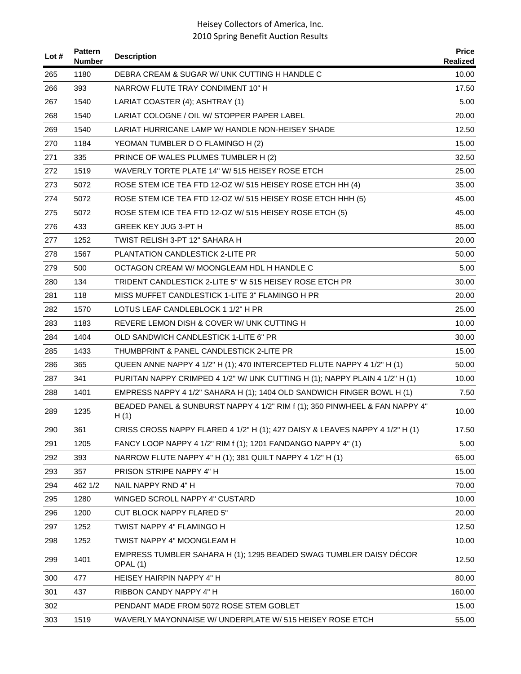| Lot # | <b>Pattern</b><br><b>Number</b> | <b>Description</b>                                                                  | <b>Price</b><br><b>Realized</b> |
|-------|---------------------------------|-------------------------------------------------------------------------------------|---------------------------------|
| 265   | 1180                            | DEBRA CREAM & SUGAR W/ UNK CUTTING H HANDLE C                                       | 10.00                           |
| 266   | 393                             | NARROW FLUTE TRAY CONDIMENT 10" H                                                   | 17.50                           |
| 267   | 1540                            | LARIAT COASTER (4); ASHTRAY (1)                                                     | 5.00                            |
| 268   | 1540                            | LARIAT COLOGNE / OIL W/ STOPPER PAPER LABEL                                         | 20.00                           |
| 269   | 1540                            | LARIAT HURRICANE LAMP W/ HANDLE NON-HEISEY SHADE                                    | 12.50                           |
| 270   | 1184                            | YEOMAN TUMBLER D O FLAMINGO H (2)                                                   | 15.00                           |
| 271   | 335                             | PRINCE OF WALES PLUMES TUMBLER H (2)                                                | 32.50                           |
| 272   | 1519                            | WAVERLY TORTE PLATE 14" W/ 515 HEISEY ROSE ETCH                                     | 25.00                           |
| 273   | 5072                            | ROSE STEM ICE TEA FTD 12-OZ W/ 515 HEISEY ROSE ETCH HH (4)                          | 35.00                           |
| 274   | 5072                            | ROSE STEM ICE TEA FTD 12-OZ W/ 515 HEISEY ROSE ETCH HHH (5)                         | 45.00                           |
| 275   | 5072                            | ROSE STEM ICE TEA FTD 12-OZ W/ 515 HEISEY ROSE ETCH (5)                             | 45.00                           |
| 276   | 433                             | <b>GREEK KEY JUG 3-PT H</b>                                                         | 85.00                           |
| 277   | 1252                            | TWIST RELISH 3-PT 12" SAHARA H                                                      | 20.00                           |
| 278   | 1567                            | PLANTATION CANDLESTICK 2-LITE PR                                                    | 50.00                           |
| 279   | 500                             | OCTAGON CREAM W/MOONGLEAM HDL H HANDLE C                                            | 5.00                            |
| 280   | 134                             | TRIDENT CANDLESTICK 2-LITE 5" W 515 HEISEY ROSE ETCH PR                             | 30.00                           |
| 281   | 118                             | MISS MUFFET CANDLESTICK 1-LITE 3" FLAMINGO H PR                                     | 20.00                           |
| 282   | 1570                            | LOTUS LEAF CANDLEBLOCK 1 1/2" H PR                                                  | 25.00                           |
| 283   | 1183                            | REVERE LEMON DISH & COVER W/ UNK CUTTING H                                          | 10.00                           |
| 284   | 1404                            | OLD SANDWICH CANDLESTICK 1-LITE 6" PR                                               | 30.00                           |
| 285   | 1433                            | THUMBPRINT & PANEL CANDLESTICK 2-LITE PR                                            | 15.00                           |
| 286   | 365                             | QUEEN ANNE NAPPY 4 1/2" H (1); 470 INTERCEPTED FLUTE NAPPY 4 1/2" H (1)             | 50.00                           |
| 287   | 341                             | PURITAN NAPPY CRIMPED 4 1/2" W/ UNK CUTTING H (1); NAPPY PLAIN 4 1/2" H (1)         | 10.00                           |
| 288   | 1401                            | EMPRESS NAPPY 4 1/2" SAHARA H (1); 1404 OLD SANDWICH FINGER BOWL H (1)              | 7.50                            |
| 289   | 1235                            | BEADED PANEL & SUNBURST NAPPY 4 1/2" RIM f (1); 350 PINWHEEL & FAN NAPPY 4"<br>H(1) | 10.00                           |
| 290   | 361                             | CRISS CROSS NAPPY FLARED 4 1/2" H (1); 427 DAISY & LEAVES NAPPY 4 1/2" H (1)        | 17.50                           |
| 291   | 1205                            | FANCY LOOP NAPPY 4 1/2" RIM f (1); 1201 FANDANGO NAPPY 4" (1)                       | 5.00                            |
| 292   | 393                             | NARROW FLUTE NAPPY 4" H (1); 381 QUILT NAPPY 4 1/2" H (1)                           | 65.00                           |
| 293   | 357                             | PRISON STRIPE NAPPY 4" H                                                            | 15.00                           |
| 294   | 462 1/2                         | NAIL NAPPY RND 4" H                                                                 | 70.00                           |
| 295   | 1280                            | WINGED SCROLL NAPPY 4" CUSTARD                                                      | 10.00                           |
| 296   | 1200                            | <b>CUT BLOCK NAPPY FLARED 5"</b>                                                    | 20.00                           |
| 297   | 1252                            | TWIST NAPPY 4" FLAMINGO H                                                           | 12.50                           |
| 298   | 1252                            | TWIST NAPPY 4" MOONGLEAM H                                                          | 10.00                           |
| 299   | 1401                            | EMPRESS TUMBLER SAHARA H (1); 1295 BEADED SWAG TUMBLER DAISY DECOR<br>OPAL (1)      | 12.50                           |
| 300   | 477                             | HEISEY HAIRPIN NAPPY 4" H                                                           | 80.00                           |
| 301   | 437                             | RIBBON CANDY NAPPY 4" H                                                             | 160.00                          |
| 302   |                                 | PENDANT MADE FROM 5072 ROSE STEM GOBLET                                             | 15.00                           |
| 303   | 1519                            | WAVERLY MAYONNAISE W/ UNDERPLATE W/ 515 HEISEY ROSE ETCH                            | 55.00                           |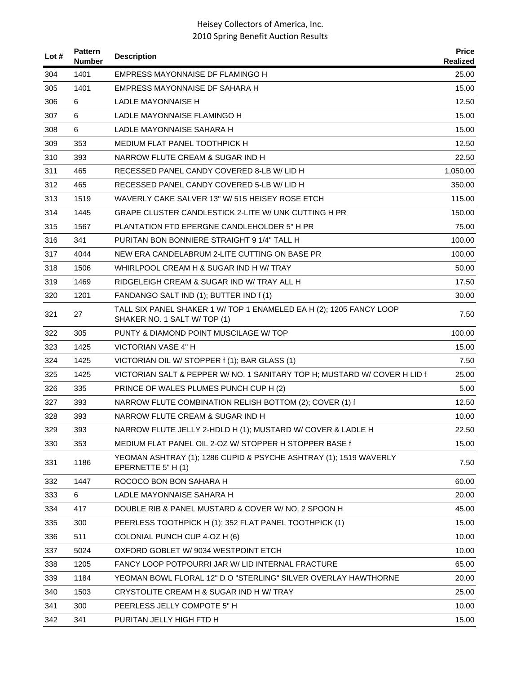| Lot $#$ | <b>Pattern</b><br><b>Number</b> | <b>Description</b>                                                                                  | <b>Price</b><br>Realized |
|---------|---------------------------------|-----------------------------------------------------------------------------------------------------|--------------------------|
| 304     | 1401                            | EMPRESS MAYONNAISE DF FLAMINGO H                                                                    | 25.00                    |
| 305     | 1401                            | EMPRESS MAYONNAISE DF SAHARA H                                                                      | 15.00                    |
| 306     | 6                               | LADLE MAYONNAISE H                                                                                  | 12.50                    |
| 307     | 6                               | LADLE MAYONNAISE FLAMINGO H                                                                         | 15.00                    |
| 308     | 6                               | LADLE MAYONNAISE SAHARA H                                                                           | 15.00                    |
| 309     | 353                             | MEDIUM FLAT PANEL TOOTHPICK H                                                                       | 12.50                    |
| 310     | 393                             | NARROW FLUTE CREAM & SUGAR IND H                                                                    | 22.50                    |
| 311     | 465                             | RECESSED PANEL CANDY COVERED 8-LB W/ LID H                                                          | 1,050.00                 |
| 312     | 465                             | RECESSED PANEL CANDY COVERED 5-LB W/ LID H                                                          | 350.00                   |
| 313     | 1519                            | WAVERLY CAKE SALVER 13" W/ 515 HEISEY ROSE ETCH                                                     | 115.00                   |
| 314     | 1445                            | GRAPE CLUSTER CANDLESTICK 2-LITE W/ UNK CUTTING H PR                                                | 150.00                   |
| 315     | 1567                            | PLANTATION FTD EPERGNE CANDLEHOLDER 5" H PR                                                         | 75.00                    |
| 316     | 341                             | PURITAN BON BONNIERE STRAIGHT 9 1/4" TALL H                                                         | 100.00                   |
| 317     | 4044                            | NEW ERA CANDELABRUM 2-LITE CUTTING ON BASE PR                                                       | 100.00                   |
| 318     | 1506                            | WHIRLPOOL CREAM H & SUGAR IND H W/ TRAY                                                             | 50.00                    |
| 319     | 1469                            | RIDGELEIGH CREAM & SUGAR IND W/ TRAY ALL H                                                          | 17.50                    |
| 320     | 1201                            | FANDANGO SALT IND (1); BUTTER IND f (1)                                                             | 30.00                    |
| 321     | 27                              | TALL SIX PANEL SHAKER 1 W/ TOP 1 ENAMELED EA H (2); 1205 FANCY LOOP<br>SHAKER NO. 1 SALT W/ TOP (1) | 7.50                     |
| 322     | 305                             | PUNTY & DIAMOND POINT MUSCILAGE W/ TOP                                                              | 100.00                   |
| 323     | 1425                            | VICTORIAN VASE 4" H                                                                                 | 15.00                    |
| 324     | 1425                            | VICTORIAN OIL W/ STOPPER f (1); BAR GLASS (1)                                                       | 7.50                     |
| 325     | 1425                            | VICTORIAN SALT & PEPPER W/ NO. 1 SANITARY TOP H; MUSTARD W/ COVER H LID f                           | 25.00                    |
| 326     | 335                             | PRINCE OF WALES PLUMES PUNCH CUP H (2)                                                              | 5.00                     |
| 327     | 393                             | NARROW FLUTE COMBINATION RELISH BOTTOM (2); COVER (1) f                                             | 12.50                    |
| 328     | 393                             | NARROW FLUTE CREAM & SUGAR IND H                                                                    | 10.00                    |
| 329     | 393                             | NARROW FLUTE JELLY 2-HDLD H (1); MUSTARD W/ COVER & LADLE H                                         | 22.50                    |
| 330     | 353                             | MEDIUM FLAT PANEL OIL 2-OZ W/ STOPPER H STOPPER BASE f                                              | 15.00                    |
| 331     | 1186                            | YEOMAN ASHTRAY (1); 1286 CUPID & PSYCHE ASHTRAY (1); 1519 WAVERLY<br>EPERNETTE 5" H (1)             | 7.50                     |
| 332     | 1447                            | ROCOCO BON BON SAHARA H                                                                             | 60.00                    |
| 333     | 6                               | LADLE MAYONNAISE SAHARA H                                                                           | 20.00                    |
| 334     | 417                             | DOUBLE RIB & PANEL MUSTARD & COVER W/ NO. 2 SPOON H                                                 | 45.00                    |
| 335     | 300                             | PEERLESS TOOTHPICK H (1); 352 FLAT PANEL TOOTHPICK (1)                                              | 15.00                    |
| 336     | 511                             | COLONIAL PUNCH CUP 4-OZ H (6)                                                                       | 10.00                    |
| 337     | 5024                            | OXFORD GOBLET W/ 9034 WESTPOINT ETCH                                                                | 10.00                    |
| 338     | 1205                            | FANCY LOOP POTPOURRI JAR W/ LID INTERNAL FRACTURE                                                   | 65.00                    |
| 339     | 1184                            | YEOMAN BOWL FLORAL 12" D O "STERLING" SILVER OVERLAY HAWTHORNE                                      | 20.00                    |
| 340     | 1503                            | CRYSTOLITE CREAM H & SUGAR IND H W/TRAY                                                             | 25.00                    |
| 341     | 300                             | PEERLESS JELLY COMPOTE 5" H                                                                         | 10.00                    |
| 342     | 341                             | PURITAN JELLY HIGH FTD H                                                                            | 15.00                    |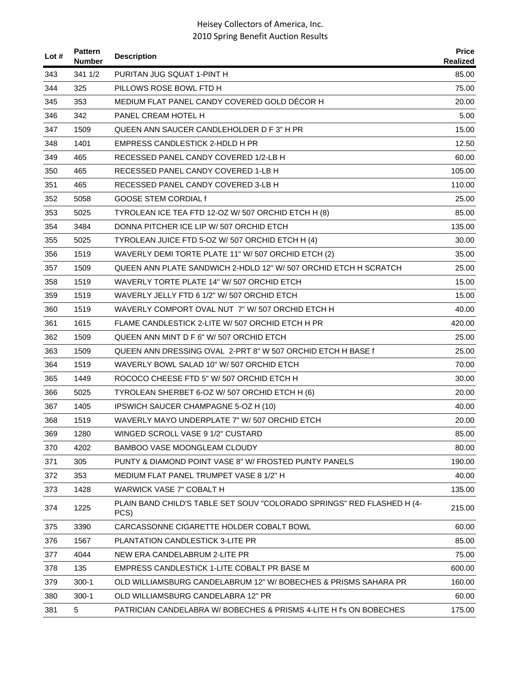| Lot $#$ | <b>Pattern</b><br>Number | <b>Description</b>                                                             | <b>Price</b><br>Realized |
|---------|--------------------------|--------------------------------------------------------------------------------|--------------------------|
| 343     | 341 1/2                  | PURITAN JUG SQUAT 1-PINT H                                                     | 85.00                    |
| 344     | 325                      | PILLOWS ROSE BOWL FTD H                                                        | 75.00                    |
| 345     | 353                      | MEDIUM FLAT PANEL CANDY COVERED GOLD DECOR H                                   | 20.00                    |
| 346     | 342                      | PANEL CREAM HOTEL H                                                            | 5.00                     |
| 347     | 1509                     | QUEEN ANN SAUCER CANDLEHOLDER D F 3" H PR                                      | 15.00                    |
| 348     | 1401                     | EMPRESS CANDLESTICK 2-HDLD H PR                                                | 12.50                    |
| 349     | 465                      | RECESSED PANEL CANDY COVERED 1/2-LB H                                          | 60.00                    |
| 350     | 465                      | RECESSED PANEL CANDY COVERED 1-LB H                                            | 105.00                   |
| 351     | 465                      | RECESSED PANEL CANDY COVERED 3-LB H                                            | 110.00                   |
| 352     | 5058                     | <b>GOOSE STEM CORDIAL f</b>                                                    | 25.00                    |
| 353     | 5025                     | TYROLEAN ICE TEA FTD 12-OZ W/ 507 ORCHID ETCH H (8)                            | 85.00                    |
| 354     | 3484                     | DONNA PITCHER ICE LIP W/ 507 ORCHID ETCH                                       | 135.00                   |
| 355     | 5025                     | TYROLEAN JUICE FTD 5-OZ W/ 507 ORCHID ETCH H (4)                               | 30.00                    |
| 356     | 1519                     | WAVERLY DEMI TORTE PLATE 11" W/ 507 ORCHID ETCH (2)                            | 35.00                    |
| 357     | 1509                     | QUEEN ANN PLATE SANDWICH 2-HDLD 12" W/507 ORCHID ETCH H SCRATCH                | 25.00                    |
| 358     | 1519                     | WAVERLY TORTE PLATE 14" W/ 507 ORCHID ETCH                                     | 15.00                    |
| 359     | 1519                     | WAVERLY JELLY FTD 6 1/2" W/ 507 ORCHID ETCH                                    | 15.00                    |
| 360     | 1519                     | WAVERLY COMPORT OVAL NUT 7" W/ 507 ORCHID ETCH H                               | 40.00                    |
| 361     | 1615                     | FLAME CANDLESTICK 2-LITE W/ 507 ORCHID ETCH H PR                               | 420.00                   |
| 362     | 1509                     | QUEEN ANN MINT D F 6" W/ 507 ORCHID ETCH                                       | 25.00                    |
| 363     | 1509                     | QUEEN ANN DRESSING OVAL 2-PRT 8" W 507 ORCHID ETCH H BASE f                    | 25.00                    |
| 364     | 1519                     | WAVERLY BOWL SALAD 10" W/ 507 ORCHID ETCH                                      | 70.00                    |
| 365     | 1449                     | ROCOCO CHEESE FTD 5" W/ 507 ORCHID ETCH H                                      | 30.00                    |
| 366     | 5025                     | TYROLEAN SHERBET 6-OZ W/ 507 ORCHID ETCH H (6)                                 | 20.00                    |
| 367     | 1405                     | <b>IPSWICH SAUCER CHAMPAGNE 5-OZ H (10)</b>                                    | 40.00                    |
| 368     | 1519                     | WAVERLY MAYO UNDERPLATE 7" W/ 507 ORCHID ETCH                                  | 20.00                    |
| 369     | 1280                     | WINGED SCROLL VASE 9 1/2" CUSTARD                                              | 85.00                    |
| 370     | 4202                     | BAMBOO VASE MOONGLEAM CLOUDY                                                   | 80.00                    |
| 371     | 305                      | PUNTY & DIAMOND POINT VASE 8" W/ FROSTED PUNTY PANELS                          | 190.00                   |
| 372     | 353                      | MEDIUM FLAT PANEL TRUMPET VASE 8 1/2" H                                        | 40.00                    |
| 373     | 1428                     | <b>WARWICK VASE 7" COBALT H</b>                                                | 135.00                   |
| 374     | 1225                     | PLAIN BAND CHILD'S TABLE SET SOUV "COLORADO SPRINGS" RED FLASHED H (4-<br>PCS) | 215.00                   |
| 375     | 3390                     | CARCASSONNE CIGARETTE HOLDER COBALT BOWL                                       | 60.00                    |
| 376     | 1567                     | PLANTATION CANDLESTICK 3-LITE PR                                               | 85.00                    |
| 377     | 4044                     | NEW ERA CANDELABRUM 2-LITE PR                                                  | 75.00                    |
| 378     | 135                      | EMPRESS CANDLESTICK 1-LITE COBALT PR BASE M                                    | 600.00                   |
| 379     | $300-1$                  | OLD WILLIAMSBURG CANDELABRUM 12" W/ BOBECHES & PRISMS SAHARA PR                | 160.00                   |
| 380     | $300-1$                  | OLD WILLIAMSBURG CANDELABRA 12" PR                                             | 60.00                    |
| 381     | 5                        | PATRICIAN CANDELABRA W/BOBECHES & PRISMS 4-LITE H f's ON BOBECHES              | 175.00                   |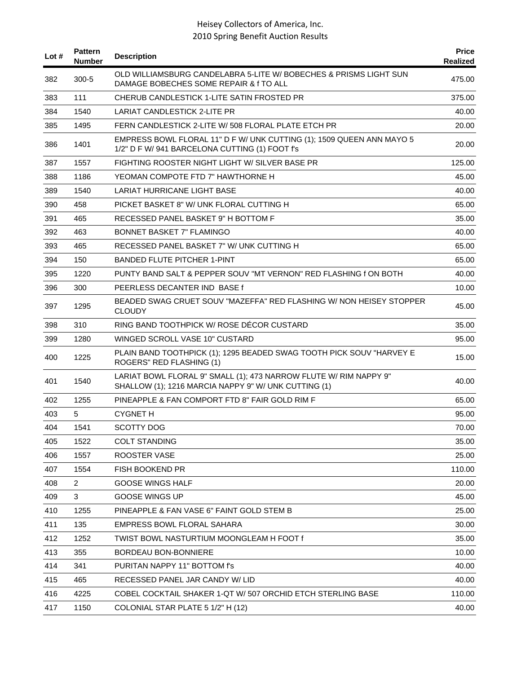| Lot # | <b>Pattern</b><br><b>Number</b> | <b>Description</b>                                                                                                        | <b>Price</b><br>Realized |
|-------|---------------------------------|---------------------------------------------------------------------------------------------------------------------------|--------------------------|
| 382   | $300 - 5$                       | OLD WILLIAMSBURG CANDELABRA 5-LITE W/ BOBECHES & PRISMS LIGHT SUN<br>DAMAGE BOBECHES SOME REPAIR & f TO ALL               | 475.00                   |
| 383   | 111                             | CHERUB CANDLESTICK 1-LITE SATIN FROSTED PR                                                                                | 375.00                   |
| 384   | 1540                            | LARIAT CANDLESTICK 2-LITE PR                                                                                              | 40.00                    |
| 385   | 1495                            | FERN CANDLESTICK 2-LITE W/508 FLORAL PLATE ETCH PR                                                                        | 20.00                    |
| 386   | 1401                            | EMPRESS BOWL FLORAL 11" D F W/ UNK CUTTING (1); 1509 QUEEN ANN MAYO 5<br>1/2" D F W/ 941 BARCELONA CUTTING (1) FOOT f's   | 20.00                    |
| 387   | 1557                            | FIGHTING ROOSTER NIGHT LIGHT W/ SILVER BASE PR                                                                            | 125.00                   |
| 388   | 1186                            | YEOMAN COMPOTE FTD 7" HAWTHORNE H                                                                                         | 45.00                    |
| 389   | 1540                            | LARIAT HURRICANE LIGHT BASE                                                                                               | 40.00                    |
| 390   | 458                             | PICKET BASKET 8" W/ UNK FLORAL CUTTING H                                                                                  | 65.00                    |
| 391   | 465                             | RECESSED PANEL BASKET 9" H BOTTOM F                                                                                       | 35.00                    |
| 392   | 463                             | <b>BONNET BASKET 7" FLAMINGO</b>                                                                                          | 40.00                    |
| 393   | 465                             | RECESSED PANEL BASKET 7" W/ UNK CUTTING H                                                                                 | 65.00                    |
| 394   | 150                             | <b>BANDED FLUTE PITCHER 1-PINT</b>                                                                                        | 65.00                    |
| 395   | 1220                            | PUNTY BAND SALT & PEPPER SOUV "MT VERNON" RED FLASHING f ON BOTH                                                          | 40.00                    |
| 396   | 300                             | PEERLESS DECANTER IND BASE f                                                                                              | 10.00                    |
| 397   | 1295                            | BEADED SWAG CRUET SOUV "MAZEFFA" RED FLASHING W/ NON HEISEY STOPPER<br><b>CLOUDY</b>                                      | 45.00                    |
| 398   | 310                             | RING BAND TOOTHPICK W/ ROSE DÉCOR CUSTARD                                                                                 | 35.00                    |
| 399   | 1280                            | WINGED SCROLL VASE 10" CUSTARD                                                                                            | 95.00                    |
| 400   | 1225                            | PLAIN BAND TOOTHPICK (1); 1295 BEADED SWAG TOOTH PICK SOUV "HARVEY E<br>ROGERS" RED FLASHING (1)                          | 15.00                    |
| 401   | 1540                            | LARIAT BOWL FLORAL 9" SMALL (1); 473 NARROW FLUTE W/ RIM NAPPY 9"<br>SHALLOW (1); 1216 MARCIA NAPPY 9" W/ UNK CUTTING (1) | 40.00                    |
| 402   | 1255                            | PINEAPPLE & FAN COMPORT FTD 8" FAIR GOLD RIM F                                                                            | 65.00                    |
| 403   | 5                               | <b>CYGNET H</b>                                                                                                           | 95.00                    |
| 404   | 1541                            | <b>SCOTTY DOG</b>                                                                                                         | 70.00                    |
| 405   | 1522                            | <b>COLT STANDING</b>                                                                                                      | 35.00                    |
| 406   | 1557                            | ROOSTER VASE                                                                                                              | 25.00                    |
| 407   | 1554                            | FISH BOOKEND PR                                                                                                           | 110.00                   |
| 408   | $\overline{2}$                  | <b>GOOSE WINGS HALF</b>                                                                                                   | 20.00                    |
| 409   | 3                               | GOOSE WINGS UP                                                                                                            | 45.00                    |
| 410   | 1255                            | PINEAPPLE & FAN VASE 6" FAINT GOLD STEM B                                                                                 | 25.00                    |
| 411   | 135                             | EMPRESS BOWL FLORAL SAHARA                                                                                                | 30.00                    |
| 412   | 1252                            | TWIST BOWL NASTURTIUM MOONGLEAM H FOOT f                                                                                  | 35.00                    |
| 413   | 355                             | BORDEAU BON-BONNIERE                                                                                                      | 10.00                    |
| 414   | 341                             | PURITAN NAPPY 11" BOTTOM f's                                                                                              | 40.00                    |
| 415   | 465                             | RECESSED PANEL JAR CANDY W/ LID                                                                                           | 40.00                    |
| 416   | 4225                            | COBEL COCKTAIL SHAKER 1-QT W/ 507 ORCHID ETCH STERLING BASE                                                               | 110.00                   |
| 417   | 1150                            | COLONIAL STAR PLATE 5 1/2" H (12)                                                                                         | 40.00                    |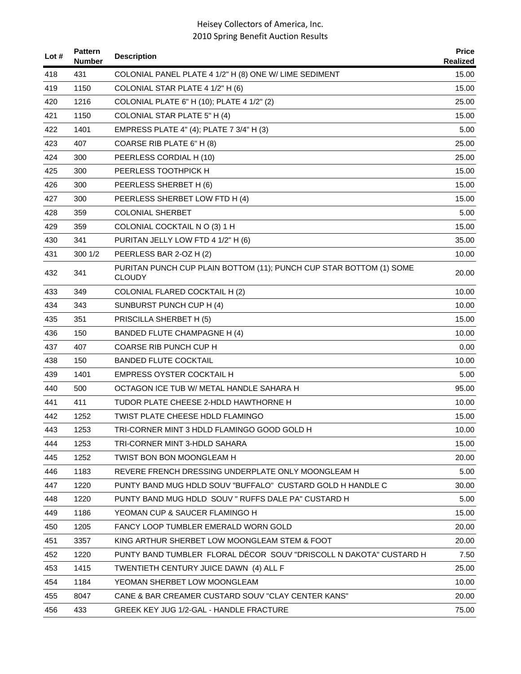| Lot # | <b>Pattern</b><br><b>Number</b> | <b>Description</b>                                                                   | <b>Price</b><br>Realized |
|-------|---------------------------------|--------------------------------------------------------------------------------------|--------------------------|
| 418   | 431                             | COLONIAL PANEL PLATE 4 1/2" H (8) ONE W/ LIME SEDIMENT                               | 15.00                    |
| 419   | 1150                            | COLONIAL STAR PLATE 4 1/2" H (6)                                                     | 15.00                    |
| 420   | 1216                            | COLONIAL PLATE 6" H (10); PLATE 4 1/2" (2)                                           | 25.00                    |
| 421   | 1150                            | COLONIAL STAR PLATE 5" H (4)                                                         | 15.00                    |
| 422   | 1401                            | EMPRESS PLATE 4" (4); PLATE 7 3/4" H (3)                                             | 5.00                     |
| 423   | 407                             | COARSE RIB PLATE 6" H (8)                                                            | 25.00                    |
| 424   | 300                             | PEERLESS CORDIAL H (10)                                                              | 25.00                    |
| 425   | 300                             | PEERLESS TOOTHPICK H                                                                 | 15.00                    |
| 426   | 300                             | PEERLESS SHERBET H (6)                                                               | 15.00                    |
| 427   | 300                             | PEERLESS SHERBET LOW FTD H (4)                                                       | 15.00                    |
| 428   | 359                             | <b>COLONIAL SHERBET</b>                                                              | 5.00                     |
| 429   | 359                             | COLONIAL COCKTAIL N O (3) 1 H                                                        | 15.00                    |
| 430   | 341                             | PURITAN JELLY LOW FTD 4 1/2" H (6)                                                   | 35.00                    |
| 431   | 300 1/2                         | PEERLESS BAR 2-OZ H (2)                                                              | 10.00                    |
| 432   | 341                             | PURITAN PUNCH CUP PLAIN BOTTOM (11); PUNCH CUP STAR BOTTOM (1) SOME<br><b>CLOUDY</b> | 20.00                    |
| 433   | 349                             | COLONIAL FLARED COCKTAIL H (2)                                                       | 10.00                    |
| 434   | 343                             | SUNBURST PUNCH CUP H (4)                                                             | 10.00                    |
| 435   | 351                             | PRISCILLA SHERBET H (5)                                                              | 15.00                    |
| 436   | 150                             | BANDED FLUTE CHAMPAGNE H (4)                                                         | 10.00                    |
| 437   | 407                             | <b>COARSE RIB PUNCH CUP H</b>                                                        | 0.00                     |
| 438   | 150                             | <b>BANDED FLUTE COCKTAIL</b>                                                         | 10.00                    |
| 439   | 1401                            | EMPRESS OYSTER COCKTAIL H                                                            | 5.00                     |
| 440   | 500                             | OCTAGON ICE TUB W/ METAL HANDLE SAHARA H                                             | 95.00                    |
| 441   | 411                             | TUDOR PLATE CHEESE 2-HDLD HAWTHORNE H                                                | 10.00                    |
| 442   | 1252                            | TWIST PLATE CHEESE HDLD FLAMINGO                                                     | 15.00                    |
| 443   | 1253                            | TRI-CORNER MINT 3 HDLD FLAMINGO GOOD GOLD H                                          | 10.00                    |
| 444   | 1253                            | TRI-CORNER MINT 3-HDLD SAHARA                                                        | 15.00                    |
| 445   | 1252                            | TWIST BON BON MOONGLEAM H                                                            | 20.00                    |
| 446   | 1183                            | REVERE FRENCH DRESSING UNDERPLATE ONLY MOONGLEAM H                                   | 5.00                     |
| 447   | 1220                            | PUNTY BAND MUG HDLD SOUV "BUFFALO" CUSTARD GOLD H HANDLE C                           | 30.00                    |
| 448   | 1220                            | PUNTY BAND MUG HDLD SOUV " RUFFS DALE PA" CUSTARD H                                  | 5.00                     |
| 449   | 1186                            | YEOMAN CUP & SAUCER FLAMINGO H                                                       | 15.00                    |
| 450   | 1205                            | FANCY LOOP TUMBLER EMERALD WORN GOLD                                                 | 20.00                    |
| 451   | 3357                            | KING ARTHUR SHERBET LOW MOONGLEAM STEM & FOOT                                        | 20.00                    |
| 452   | 1220                            | PUNTY BAND TUMBLER FLORAL DÉCOR SOUV "DRISCOLL N DAKOTA" CUSTARD H                   | 7.50                     |
| 453   | 1415                            | TWENTIETH CENTURY JUICE DAWN (4) ALL F                                               | 25.00                    |
| 454   | 1184                            | YEOMAN SHERBET LOW MOONGLEAM                                                         | 10.00                    |
| 455   | 8047                            | CANE & BAR CREAMER CUSTARD SOUV "CLAY CENTER KANS"                                   | 20.00                    |
| 456   | 433                             | GREEK KEY JUG 1/2-GAL - HANDLE FRACTURE                                              | 75.00                    |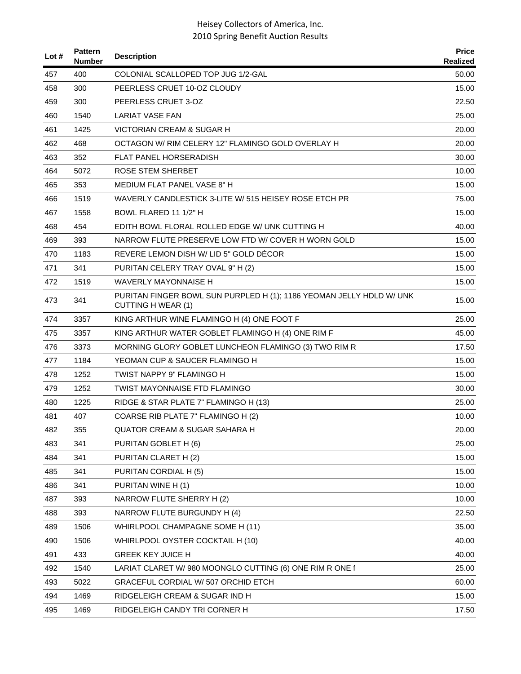| Lot # | <b>Pattern</b><br>Number | <b>Description</b>                                                                                | <b>Price</b><br><b>Realized</b> |
|-------|--------------------------|---------------------------------------------------------------------------------------------------|---------------------------------|
| 457   | 400                      | COLONIAL SCALLOPED TOP JUG 1/2-GAL                                                                | 50.00                           |
| 458   | 300                      | PEERLESS CRUET 10-OZ CLOUDY                                                                       | 15.00                           |
| 459   | 300                      | PEERLESS CRUET 3-OZ                                                                               | 22.50                           |
| 460   | 1540                     | <b>LARIAT VASE FAN</b>                                                                            | 25.00                           |
| 461   | 1425                     | <b>VICTORIAN CREAM &amp; SUGAR H</b>                                                              | 20.00                           |
| 462   | 468                      | OCTAGON W/ RIM CELERY 12" FLAMINGO GOLD OVERLAY H                                                 | 20.00                           |
| 463   | 352                      | <b>FLAT PANEL HORSERADISH</b>                                                                     | 30.00                           |
| 464   | 5072                     | <b>ROSE STEM SHERBET</b>                                                                          | 10.00                           |
| 465   | 353                      | MEDIUM FLAT PANEL VASE 8" H                                                                       | 15.00                           |
| 466   | 1519                     | WAVERLY CANDLESTICK 3-LITE W/ 515 HEISEY ROSE ETCH PR                                             | 75.00                           |
| 467   | 1558                     | BOWL FLARED 11 1/2" H                                                                             | 15.00                           |
| 468   | 454                      | EDITH BOWL FLORAL ROLLED EDGE W/ UNK CUTTING H                                                    | 40.00                           |
| 469   | 393                      | NARROW FLUTE PRESERVE LOW FTD W/ COVER H WORN GOLD                                                | 15.00                           |
| 470   | 1183                     | REVERE LEMON DISH W/ LID 5" GOLD DÉCOR                                                            | 15.00                           |
| 471   | 341                      | PURITAN CELERY TRAY OVAL 9" H (2)                                                                 | 15.00                           |
| 472   | 1519                     | <b>WAVERLY MAYONNAISE H</b>                                                                       | 15.00                           |
| 473   | 341                      | PURITAN FINGER BOWL SUN PURPLED H (1); 1186 YEOMAN JELLY HDLD W/ UNK<br><b>CUTTING H WEAR (1)</b> | 15.00                           |
| 474   | 3357                     | KING ARTHUR WINE FLAMINGO H (4) ONE FOOT F                                                        | 25.00                           |
| 475   | 3357                     | KING ARTHUR WATER GOBLET FLAMINGO H (4) ONE RIM F                                                 | 45.00                           |
| 476   | 3373                     | MORNING GLORY GOBLET LUNCHEON FLAMINGO (3) TWO RIM R                                              | 17.50                           |
| 477   | 1184                     | YEOMAN CUP & SAUCER FLAMINGO H                                                                    | 15.00                           |
| 478   | 1252                     | TWIST NAPPY 9" FLAMINGO H                                                                         | 15.00                           |
| 479   | 1252                     | TWIST MAYONNAISE FTD FLAMINGO                                                                     | 30.00                           |
| 480   | 1225                     | RIDGE & STAR PLATE 7" FLAMINGO H (13)                                                             | 25.00                           |
| 481   | 407                      | COARSE RIB PLATE 7" FLAMINGO H (2)                                                                | 10.00                           |
| 482   | 355                      | QUATOR CREAM & SUGAR SAHARA H                                                                     | 20.00                           |
| 483   | 341                      | PURITAN GOBLET H (6)                                                                              | 25.00                           |
| 484   | 341                      | PURITAN CLARET H (2)                                                                              | 15.00                           |
| 485   | 341                      | PURITAN CORDIAL H (5)                                                                             | 15.00                           |
| 486   | 341                      | PURITAN WINE H (1)                                                                                | 10.00                           |
| 487   | 393                      | NARROW FLUTE SHERRY H (2)                                                                         | 10.00                           |
| 488   | 393                      | NARROW FLUTE BURGUNDY H (4)                                                                       | 22.50                           |
| 489   | 1506                     | WHIRLPOOL CHAMPAGNE SOME H (11)                                                                   | 35.00                           |
| 490   | 1506                     | WHIRLPOOL OYSTER COCKTAIL H (10)                                                                  | 40.00                           |
| 491   | 433                      | <b>GREEK KEY JUICE H</b>                                                                          | 40.00                           |
| 492   | 1540                     | LARIAT CLARET W/ 980 MOONGLO CUTTING (6) ONE RIM R ONE f                                          | 25.00                           |
| 493   | 5022                     | <b>GRACEFUL CORDIAL W/507 ORCHID ETCH</b>                                                         | 60.00                           |
| 494   | 1469                     | RIDGELEIGH CREAM & SUGAR IND H                                                                    | 15.00                           |
| 495   | 1469                     | RIDGELEIGH CANDY TRI CORNER H                                                                     | 17.50                           |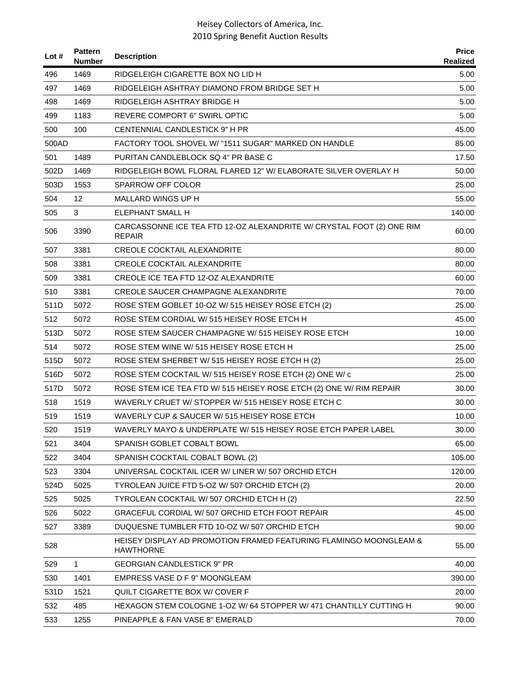| Lot # | <b>Pattern</b><br><b>Number</b> | <b>Description</b>                                                                     | <b>Price</b><br>Realized |
|-------|---------------------------------|----------------------------------------------------------------------------------------|--------------------------|
| 496   | 1469                            | RIDGELEIGH CIGARETTE BOX NO LID H                                                      | 5.00                     |
| 497   | 1469                            | RIDGELEIGH ASHTRAY DIAMOND FROM BRIDGE SET H                                           | 5.00                     |
| 498   | 1469                            | RIDGELEIGH ASHTRAY BRIDGE H                                                            | 5.00                     |
| 499   | 1183                            | REVERE COMPORT 6" SWIRL OPTIC                                                          | 5.00                     |
| 500   | 100                             | CENTENNIAL CANDLESTICK 9" H PR                                                         | 45.00                    |
| 500AD |                                 | FACTORY TOOL SHOVEL W/ "1511 SUGAR" MARKED ON HANDLE                                   | 85.00                    |
| 501   | 1489                            | PURITAN CANDLEBLOCK SQ 4" PR BASE C                                                    | 17.50                    |
| 502D  | 1469                            | RIDGELEIGH BOWL FLORAL FLARED 12" W/ ELABORATE SILVER OVERLAY H                        | 50.00                    |
| 503D  | 1553                            | <b>SPARROW OFF COLOR</b>                                                               | 25.00                    |
| 504   | 12                              | MALLARD WINGS UP H                                                                     | 55.00                    |
| 505   | 3                               | <b>ELEPHANT SMALL H</b>                                                                | 140.00                   |
| 506   | 3390                            | CARCASSONNE ICE TEA FTD 12-OZ ALEXANDRITE W/ CRYSTAL FOOT (2) ONE RIM<br><b>REPAIR</b> | 60.00                    |
| 507   | 3381                            | <b>CREOLE COCKTAIL ALEXANDRITE</b>                                                     | 80.00                    |
| 508   | 3381                            | <b>CREOLE COCKTAIL ALEXANDRITE</b>                                                     | 80.00                    |
| 509   | 3381                            | <b>CREOLE ICE TEA FTD 12-OZ ALEXANDRITE</b>                                            | 60.00                    |
| 510   | 3381                            | CREOLE SAUCER CHAMPAGNE ALEXANDRITE                                                    | 70.00                    |
| 511D  | 5072                            | ROSE STEM GOBLET 10-OZ W/ 515 HEISEY ROSE ETCH (2)                                     | 25.00                    |
| 512   | 5072                            | ROSE STEM CORDIAL W/515 HEISEY ROSE ETCH H                                             | 45.00                    |
| 513D  | 5072                            | ROSE STEM SAUCER CHAMPAGNE W/ 515 HEISEY ROSE ETCH                                     | 10.00                    |
| 514   | 5072                            | ROSE STEM WINE W/ 515 HEISEY ROSE ETCH H                                               | 25.00                    |
| 515D  | 5072                            | ROSE STEM SHERBET W/ 515 HEISEY ROSE ETCH H (2)                                        | 25.00                    |
| 516D  | 5072                            | ROSE STEM COCKTAIL W/ 515 HEISEY ROSE ETCH (2) ONE W/ c                                | 25.00                    |
| 517D  | 5072                            | ROSE STEM ICE TEA FTD W/ 515 HEISEY ROSE ETCH (2) ONE W/ RIM REPAIR                    | 30.00                    |
| 518   | 1519                            | WAVERLY CRUET W/ STOPPER W/ 515 HEISEY ROSE ETCH C                                     | 30.00                    |
| 519   | 1519                            | WAVERLY CUP & SAUCER W/515 HEISEY ROSE ETCH                                            | 10.00                    |
| 520   | 1519                            | WAVERLY MAYO & UNDERPLATE W/ 515 HEISEY ROSE ETCH PAPER LABEL                          | 30.00                    |
| 521   | 3404                            | SPANISH GOBLET COBALT BOWL                                                             | 65.00                    |
| 522   | 3404                            | SPANISH COCKTAIL COBALT BOWL (2)                                                       | 105.00                   |
| 523   | 3304                            | UNIVERSAL COCKTAIL ICER W/ LINER W/ 507 ORCHID ETCH                                    | 120.00                   |
| 524D  | 5025                            | TYROLEAN JUICE FTD 5-OZ W/ 507 ORCHID ETCH (2)                                         | 20.00                    |
| 525   | 5025                            | TYROLEAN COCKTAIL W/ 507 ORCHID ETCH H (2)                                             | 22.50                    |
| 526   | 5022                            | GRACEFUL CORDIAL W/507 ORCHID ETCH FOOT REPAIR                                         | 45.00                    |
| 527   | 3389                            | DUQUESNE TUMBLER FTD 10-OZ W/ 507 ORCHID ETCH                                          | 90.00                    |
| 528   |                                 | HEISEY DISPLAY AD PROMOTION FRAMED FEATURING FLAMINGO MOONGLEAM &<br><b>HAWTHORNE</b>  | 55.00                    |
| 529   | $\mathbf{1}$                    | <b>GEORGIAN CANDLESTICK 9" PR</b>                                                      | 40.00                    |
| 530   | 1401                            | EMPRESS VASE D F 9" MOONGLEAM                                                          | 390.00                   |
| 531D  | 1521                            | QUILT CIGARETTE BOX W/ COVER F                                                         | 20.00                    |
| 532   | 485                             | HEXAGON STEM COLOGNE 1-OZ W/ 64 STOPPER W/ 471 CHANTILLY CUTTING H                     | 90.00                    |
| 533   | 1255                            | PINEAPPLE & FAN VASE 8" EMERALD                                                        | 70.00                    |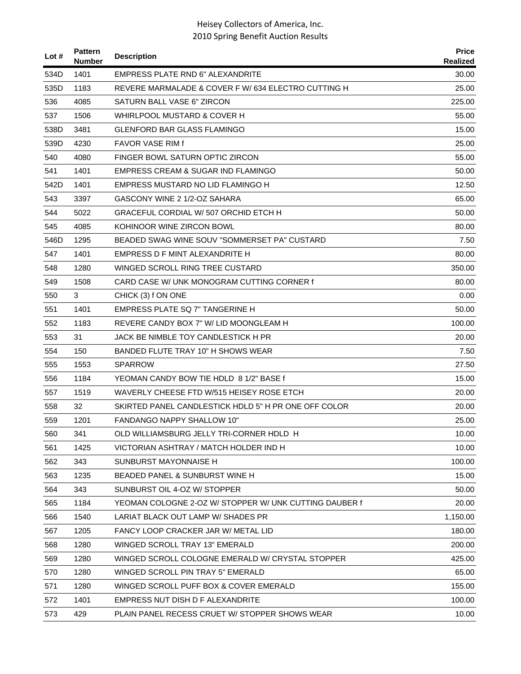| Lot $#$ | <b>Pattern</b><br><b>Number</b> | <b>Description</b>                                     | <b>Price</b><br><b>Realized</b> |
|---------|---------------------------------|--------------------------------------------------------|---------------------------------|
| 534D    | 1401                            | <b>EMPRESS PLATE RND 6" ALEXANDRITE</b>                | 30.00                           |
| 535D    | 1183                            | REVERE MARMALADE & COVER F W/ 634 ELECTRO CUTTING H    | 25.00                           |
| 536     | 4085                            | SATURN BALL VASE 6" ZIRCON                             | 225.00                          |
| 537     | 1506                            | WHIRLPOOL MUSTARD & COVER H                            | 55.00                           |
| 538D    | 3481                            | GLENFORD BAR GLASS FLAMINGO                            | 15.00                           |
| 539D    | 4230                            | FAVOR VASE RIM f                                       | 25.00                           |
| 540     | 4080                            | FINGER BOWL SATURN OPTIC ZIRCON                        | 55.00                           |
| 541     | 1401                            | EMPRESS CREAM & SUGAR IND FLAMINGO                     | 50.00                           |
| 542D    | 1401                            | EMPRESS MUSTARD NO LID FLAMINGO H                      | 12.50                           |
| 543     | 3397                            | GASCONY WINE 2 1/2-OZ SAHARA                           | 65.00                           |
| 544     | 5022                            | GRACEFUL CORDIAL W/ 507 ORCHID ETCH H                  | 50.00                           |
| 545     | 4085                            | KOHINOOR WINE ZIRCON BOWL                              | 80.00                           |
| 546D    | 1295                            | BEADED SWAG WINE SOUV "SOMMERSET PA" CUSTARD           | 7.50                            |
| 547     | 1401                            | EMPRESS D F MINT ALEXANDRITE H                         | 80.00                           |
| 548     | 1280                            | WINGED SCROLL RING TREE CUSTARD                        | 350.00                          |
| 549     | 1508                            | CARD CASE W/ UNK MONOGRAM CUTTING CORNER f             | 80.00                           |
| 550     | 3                               | CHICK (3) f ON ONE                                     | 0.00                            |
| 551     | 1401                            | EMPRESS PLATE SQ 7" TANGERINE H                        | 50.00                           |
| 552     | 1183                            | REVERE CANDY BOX 7" W/ LID MOONGLEAM H                 | 100.00                          |
| 553     | 31                              | JACK BE NIMBLE TOY CANDLESTICK H PR                    | 20.00                           |
| 554     | 150                             | BANDED FLUTE TRAY 10" H SHOWS WEAR                     | 7.50                            |
| 555     | 1553                            | <b>SPARROW</b>                                         | 27.50                           |
| 556     | 1184                            | YEOMAN CANDY BOW TIE HDLD 8 1/2" BASE f                | 15.00                           |
| 557     | 1519                            | WAVERLY CHEESE FTD W/515 HEISEY ROSE ETCH              | 20.00                           |
| 558     | 32                              | SKIRTED PANEL CANDLESTICK HDLD 5" H PR ONE OFF COLOR   | 20.00                           |
| 559     | 1201                            | <b>FANDANGO NAPPY SHALLOW 10"</b>                      | 25.00                           |
| 560     | 341                             | OLD WILLIAMSBURG JELLY TRI-CORNER HDLD H               | 10.00                           |
| 561     | 1425                            | VICTORIAN ASHTRAY / MATCH HOLDER IND H                 | 10.00                           |
| 562     | 343                             | SUNBURST MAYONNAISE H                                  | 100.00                          |
| 563     | 1235                            | BEADED PANEL & SUNBURST WINE H                         | 15.00                           |
| 564     | 343                             | SUNBURST OIL 4-OZ W/ STOPPER                           | 50.00                           |
| 565     | 1184                            | YEOMAN COLOGNE 2-OZ W/ STOPPER W/ UNK CUTTING DAUBER f | 20.00                           |
| 566     | 1540                            | LARIAT BLACK OUT LAMP W/ SHADES PR                     | 1,150.00                        |
| 567     | 1205                            | FANCY LOOP CRACKER JAR W/ METAL LID                    | 180.00                          |
| 568     | 1280                            | WINGED SCROLL TRAY 13" EMERALD                         | 200.00                          |
| 569     | 1280                            | WINGED SCROLL COLOGNE EMERALD W/ CRYSTAL STOPPER       | 425.00                          |
| 570     | 1280                            | WINGED SCROLL PIN TRAY 5" EMERALD                      | 65.00                           |
| 571     | 1280                            | WINGED SCROLL PUFF BOX & COVER EMERALD                 | 155.00                          |
| 572     | 1401                            | EMPRESS NUT DISH D F ALEXANDRITE                       | 100.00                          |
| 573     | 429                             | PLAIN PANEL RECESS CRUET W/ STOPPER SHOWS WEAR         | 10.00                           |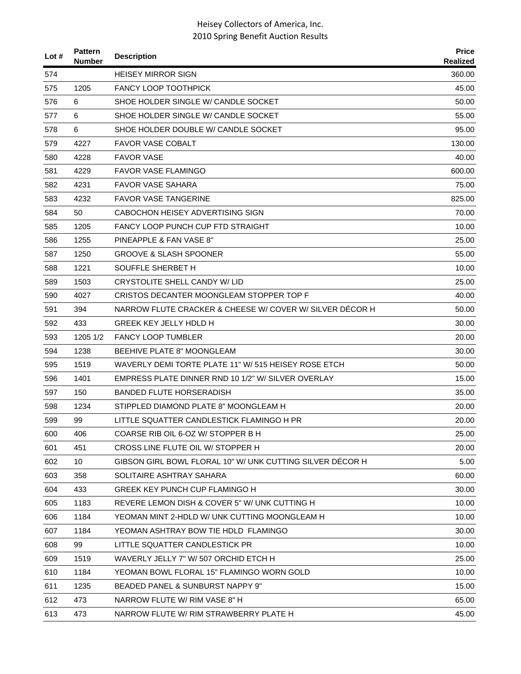| Lot $#$ | <b>Pattern</b><br><b>Number</b> | <b>Description</b>                                        | <b>Price</b><br>Realized |
|---------|---------------------------------|-----------------------------------------------------------|--------------------------|
| 574     |                                 | <b>HEISEY MIRROR SIGN</b>                                 | 360.00                   |
| 575     | 1205                            | <b>FANCY LOOP TOOTHPICK</b>                               | 45.00                    |
| 576     | 6                               | SHOE HOLDER SINGLE W/ CANDLE SOCKET                       | 50.00                    |
| 577     | 6                               | SHOE HOLDER SINGLE W/ CANDLE SOCKET                       | 55.00                    |
| 578     | 6                               | SHOE HOLDER DOUBLE W/ CANDLE SOCKET                       | 95.00                    |
| 579     | 4227                            | <b>FAVOR VASE COBALT</b>                                  | 130.00                   |
| 580     | 4228                            | <b>FAVOR VASE</b>                                         | 40.00                    |
| 581     | 4229                            | <b>FAVOR VASE FLAMINGO</b>                                | 600.00                   |
| 582     | 4231                            | FAVOR VASE SAHARA                                         | 75.00                    |
| 583     | 4232                            | <b>FAVOR VASE TANGERINE</b>                               | 825.00                   |
| 584     | 50                              | CABOCHON HEISEY ADVERTISING SIGN                          | 70.00                    |
| 585     | 1205                            | FANCY LOOP PUNCH CUP FTD STRAIGHT                         | 10.00                    |
| 586     | 1255                            | PINEAPPLE & FAN VASE 8"                                   | 25.00                    |
| 587     | 1250                            | <b>GROOVE &amp; SLASH SPOONER</b>                         | 55.00                    |
| 588     | 1221                            | SOUFFLE SHERBET H                                         | 10.00                    |
| 589     | 1503                            | <b>CRYSTOLITE SHELL CANDY W/ LID</b>                      | 25.00                    |
| 590     | 4027                            | CRISTOS DECANTER MOONGLEAM STOPPER TOP F                  | 40.00                    |
| 591     | 394                             | NARROW FLUTE CRACKER & CHEESE W/ COVER W/ SILVER DECOR H  | 50.00                    |
| 592     | 433                             | <b>GREEK KEY JELLY HDLD H</b>                             | 30.00                    |
| 593     | 1205 1/2                        | <b>FANCY LOOP TUMBLER</b>                                 | 20.00                    |
| 594     | 1238                            | BEEHIVE PLATE 8" MOONGLEAM                                | 30.00                    |
| 595     | 1519                            | WAVERLY DEMI TORTE PLATE 11" W/ 515 HEISEY ROSE ETCH      | 50.00                    |
| 596     | 1401                            | EMPRESS PLATE DINNER RND 10 1/2" W/ SILVER OVERLAY        | 15.00                    |
| 597     | 150                             | <b>BANDED FLUTE HORSERADISH</b>                           | 35.00                    |
| 598     | 1234                            | STIPPLED DIAMOND PLATE 8" MOONGLEAM H                     | 20.00                    |
| 599     | 99                              | LITTLE SQUATTER CANDLESTICK FLAMINGO H PR                 | 20.00                    |
| 600     | 406                             | COARSE RIB OIL 6-OZ W/ STOPPER B H                        | 25.00                    |
| 601     | 451                             | CROSS LINE FLUTE OIL W/ STOPPER H                         | 20.00                    |
| 602     | 10                              | GIBSON GIRL BOWL FLORAL 10" W/ UNK CUTTING SILVER DÉCOR H | 5.00                     |
| 603     | 358                             | SOLITAIRE ASHTRAY SAHARA                                  | 60.00                    |
| 604     | 433                             | GREEK KEY PUNCH CUP FLAMINGO H                            | 30.00                    |
| 605     | 1183                            | REVERE LEMON DISH & COVER 5" W/ UNK CUTTING H             | 10.00                    |
| 606     | 1184                            | YEOMAN MINT 2-HDLD W/ UNK CUTTING MOONGLEAM H             | 10.00                    |
| 607     | 1184                            | YEOMAN ASHTRAY BOW TIE HDLD FLAMINGO                      | 30.00                    |
| 608     | 99                              | LITTLE SQUATTER CANDLESTICK PR                            | 10.00                    |
| 609     | 1519                            | WAVERLY JELLY 7" W/ 507 ORCHID ETCH H                     | 25.00                    |
| 610     | 1184                            | YEOMAN BOWL FLORAL 15" FLAMINGO WORN GOLD                 | 10.00                    |
| 611     | 1235                            | BEADED PANEL & SUNBURST NAPPY 9"                          | 15.00                    |
| 612     | 473                             | NARROW FLUTE W/ RIM VASE 8" H                             | 65.00                    |
| 613     | 473                             | NARROW FLUTE W/ RIM STRAWBERRY PLATE H                    | 45.00                    |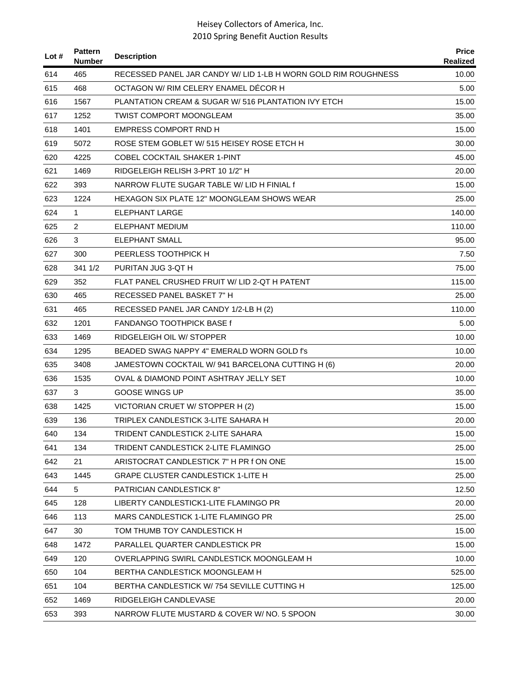| Lot $#$ | <b>Pattern</b><br><b>Number</b> | <b>Description</b>                                             | <b>Price</b><br>Realized |
|---------|---------------------------------|----------------------------------------------------------------|--------------------------|
| 614     | 465                             | RECESSED PANEL JAR CANDY W/ LID 1-LB H WORN GOLD RIM ROUGHNESS | 10.00                    |
| 615     | 468                             | OCTAGON W/ RIM CELERY ENAMEL DECOR H                           | 5.00                     |
| 616     | 1567                            | PLANTATION CREAM & SUGAR W/516 PLANTATION IVY ETCH             | 15.00                    |
| 617     | 1252                            | <b>TWIST COMPORT MOONGLEAM</b>                                 | 35.00                    |
| 618     | 1401                            | EMPRESS COMPORT RND H                                          | 15.00                    |
| 619     | 5072                            | ROSE STEM GOBLET W/ 515 HEISEY ROSE ETCH H                     | 30.00                    |
| 620     | 4225                            | <b>COBEL COCKTAIL SHAKER 1-PINT</b>                            | 45.00                    |
| 621     | 1469                            | RIDGELEIGH RELISH 3-PRT 10 1/2" H                              | 20.00                    |
| 622     | 393                             | NARROW FLUTE SUGAR TABLE W/LID H FINIAL f                      | 15.00                    |
| 623     | 1224                            | <b>HEXAGON SIX PLATE 12" MOONGLEAM SHOWS WEAR</b>              | 25.00                    |
| 624     | 1                               | <b>ELEPHANT LARGE</b>                                          | 140.00                   |
| 625     | 2                               | ELEPHANT MEDIUM                                                | 110.00                   |
| 626     | 3                               | <b>ELEPHANT SMALL</b>                                          | 95.00                    |
| 627     | 300                             | PEERLESS TOOTHPICK H                                           | 7.50                     |
| 628     | 341 1/2                         | PURITAN JUG 3-QT H                                             | 75.00                    |
| 629     | 352                             | FLAT PANEL CRUSHED FRUIT W/ LID 2-QT H PATENT                  | 115.00                   |
| 630     | 465                             | RECESSED PANEL BASKET 7" H                                     | 25.00                    |
| 631     | 465                             | RECESSED PANEL JAR CANDY 1/2-LB H (2)                          | 110.00                   |
| 632     | 1201                            | <b>FANDANGO TOOTHPICK BASE f</b>                               | 5.00                     |
| 633     | 1469                            | RIDGELEIGH OIL W/ STOPPER                                      | 10.00                    |
| 634     | 1295                            | BEADED SWAG NAPPY 4" EMERALD WORN GOLD f's                     | 10.00                    |
| 635     | 3408                            | JAMESTOWN COCKTAIL W/ 941 BARCELONA CUTTING H (6)              | 20.00                    |
| 636     | 1535                            | OVAL & DIAMOND POINT ASHTRAY JELLY SET                         | 10.00                    |
| 637     | 3                               | GOOSE WINGS UP                                                 | 35.00                    |
| 638     | 1425                            | VICTORIAN CRUET W/ STOPPER H (2)                               | 15.00                    |
| 639     | 136                             | TRIPLEX CANDLESTICK 3-LITE SAHARA H                            | 20.00                    |
| 640     | 134                             | TRIDENT CANDLESTICK 2-LITE SAHARA                              | 15.00                    |
| 641     | 134                             | TRIDENT CANDLESTICK 2-LITE FLAMINGO                            | 25.00                    |
| 642     | 21                              | ARISTOCRAT CANDLESTICK 7" H PR f ON ONE                        | 15.00                    |
| 643     | 1445                            | <b>GRAPE CLUSTER CANDLESTICK 1-LITE H</b>                      | 25.00                    |
| 644     | 5                               | <b>PATRICIAN CANDLESTICK 8"</b>                                | 12.50                    |
| 645     | 128                             | LIBERTY CANDLESTICK1-LITE FLAMINGO PR                          | 20.00                    |
| 646     | 113                             | MARS CANDLESTICK 1-LITE FLAMINGO PR                            | 25.00                    |
| 647     | 30                              | TOM THUMB TOY CANDLESTICK H                                    | 15.00                    |
| 648     | 1472                            | PARALLEL QUARTER CANDLESTICK PR                                | 15.00                    |
| 649     | 120                             | OVERLAPPING SWIRL CANDLESTICK MOONGLEAM H                      | 10.00                    |
| 650     | 104                             | BERTHA CANDLESTICK MOONGLEAM H                                 | 525.00                   |
| 651     | 104                             | BERTHA CANDLESTICK W/754 SEVILLE CUTTING H                     | 125.00                   |
| 652     | 1469                            | RIDGELEIGH CANDLEVASE                                          | 20.00                    |
| 653     | 393                             | NARROW FLUTE MUSTARD & COVER W/ NO. 5 SPOON                    | 30.00                    |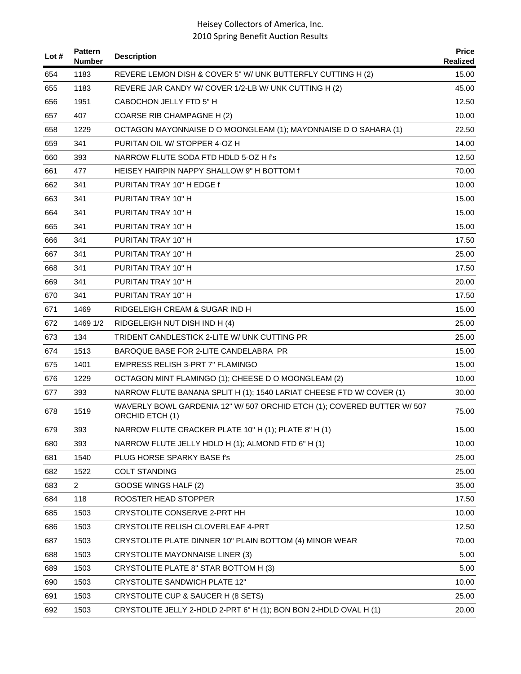| Lot # | <b>Pattern</b><br><b>Number</b> | <b>Description</b>                                                                         | <b>Price</b><br>Realized |
|-------|---------------------------------|--------------------------------------------------------------------------------------------|--------------------------|
| 654   | 1183                            | REVERE LEMON DISH & COVER 5" W/ UNK BUTTERFLY CUTTING H (2)                                | 15.00                    |
| 655   | 1183                            | REVERE JAR CANDY W/ COVER 1/2-LB W/ UNK CUTTING H (2)                                      | 45.00                    |
| 656   | 1951                            | CABOCHON JELLY FTD 5" H                                                                    | 12.50                    |
| 657   | 407                             | COARSE RIB CHAMPAGNE H (2)                                                                 | 10.00                    |
| 658   | 1229                            | OCTAGON MAYONNAISE D O MOONGLEAM (1); MAYONNAISE D O SAHARA (1)                            | 22.50                    |
| 659   | 341                             | PURITAN OIL W/ STOPPER 4-OZ H                                                              | 14.00                    |
| 660   | 393                             | NARROW FLUTE SODA FTD HDLD 5-OZ H f's                                                      | 12.50                    |
| 661   | 477                             | HEISEY HAIRPIN NAPPY SHALLOW 9" H BOTTOM f                                                 | 70.00                    |
| 662   | 341                             | PURITAN TRAY 10" H EDGE f                                                                  | 10.00                    |
| 663   | 341                             | PURITAN TRAY 10" H                                                                         | 15.00                    |
| 664   | 341                             | PURITAN TRAY 10" H                                                                         | 15.00                    |
| 665   | 341                             | PURITAN TRAY 10" H                                                                         | 15.00                    |
| 666   | 341                             | PURITAN TRAY 10" H                                                                         | 17.50                    |
| 667   | 341                             | PURITAN TRAY 10" H                                                                         | 25.00                    |
| 668   | 341                             | PURITAN TRAY 10" H                                                                         | 17.50                    |
| 669   | 341                             | PURITAN TRAY 10" H                                                                         | 20.00                    |
| 670   | 341                             | PURITAN TRAY 10" H                                                                         | 17.50                    |
| 671   | 1469                            | RIDGELEIGH CREAM & SUGAR IND H                                                             | 15.00                    |
| 672   | 1469 1/2                        | RIDGELEIGH NUT DISH IND H (4)                                                              | 25.00                    |
| 673   | 134                             | TRIDENT CANDLESTICK 2-LITE W/ UNK CUTTING PR                                               | 25.00                    |
| 674   | 1513                            | BAROQUE BASE FOR 2-LITE CANDELABRA PR                                                      | 15.00                    |
| 675   | 1401                            | EMPRESS RELISH 3-PRT 7" FLAMINGO                                                           | 15.00                    |
| 676   | 1229                            | OCTAGON MINT FLAMINGO (1); CHEESE D O MOONGLEAM (2)                                        | 10.00                    |
| 677   | 393                             | NARROW FLUTE BANANA SPLIT H (1); 1540 LARIAT CHEESE FTD W/ COVER (1)                       | 30.00                    |
| 678   | 1519                            | WAVERLY BOWL GARDENIA 12" W/ 507 ORCHID ETCH (1); COVERED BUTTER W/ 507<br>ORCHID ETCH (1) | 75.00                    |
| 679   | 393                             | NARROW FLUTE CRACKER PLATE 10" H (1); PLATE 8" H (1)                                       | 15.00                    |
| 680   | 393                             | NARROW FLUTE JELLY HDLD H (1); ALMOND FTD 6" H (1)                                         | 10.00                    |
| 681   | 1540                            | PLUG HORSE SPARKY BASE f's                                                                 | 25.00                    |
| 682   | 1522                            | <b>COLT STANDING</b>                                                                       | 25.00                    |
| 683   | $\overline{2}$                  | GOOSE WINGS HALF (2)                                                                       | 35.00                    |
| 684   | 118                             | ROOSTER HEAD STOPPER                                                                       | 17.50                    |
| 685   | 1503                            | CRYSTOLITE CONSERVE 2-PRT HH                                                               | 10.00                    |
| 686   | 1503                            | CRYSTOLITE RELISH CLOVERLEAF 4-PRT                                                         | 12.50                    |
| 687   | 1503                            | CRYSTOLITE PLATE DINNER 10" PLAIN BOTTOM (4) MINOR WEAR                                    | 70.00                    |
| 688   | 1503                            | <b>CRYSTOLITE MAYONNAISE LINER (3)</b>                                                     | 5.00                     |
| 689   | 1503                            | CRYSTOLITE PLATE 8" STAR BOTTOM H (3)                                                      | 5.00                     |
| 690   | 1503                            | <b>CRYSTOLITE SANDWICH PLATE 12"</b>                                                       | 10.00                    |
| 691   | 1503                            | CRYSTOLITE CUP & SAUCER H (8 SETS)                                                         | 25.00                    |
| 692   | 1503                            | CRYSTOLITE JELLY 2-HDLD 2-PRT 6" H (1); BON BON 2-HDLD OVAL H (1)                          | 20.00                    |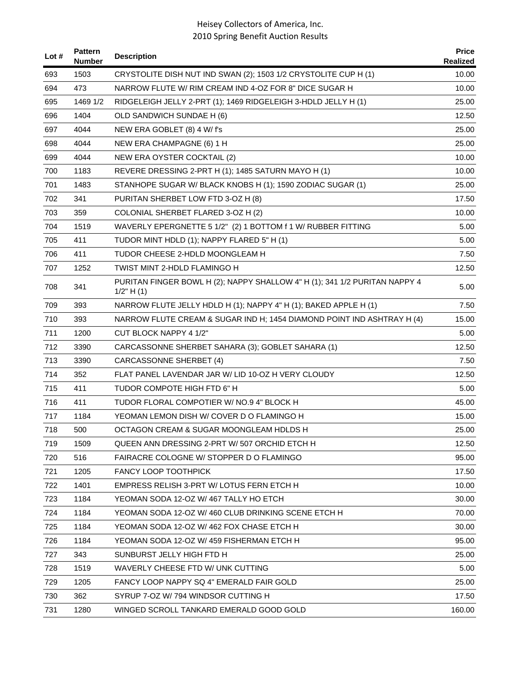| Lot # | <b>Pattern</b><br><b>Number</b> | <b>Description</b>                                                                            | <b>Price</b><br>Realized |
|-------|---------------------------------|-----------------------------------------------------------------------------------------------|--------------------------|
| 693   | 1503                            | CRYSTOLITE DISH NUT IND SWAN (2); 1503 1/2 CRYSTOLITE CUP H (1)                               | 10.00                    |
| 694   | 473                             | NARROW FLUTE W/ RIM CREAM IND 4-OZ FOR 8" DICE SUGAR H                                        | 10.00                    |
| 695   | 1469 1/2                        | RIDGELEIGH JELLY 2-PRT (1); 1469 RIDGELEIGH 3-HDLD JELLY H (1)                                | 25.00                    |
| 696   | 1404                            | OLD SANDWICH SUNDAE H (6)                                                                     | 12.50                    |
| 697   | 4044                            | NEW ERA GOBLET (8) 4 W/ f's                                                                   | 25.00                    |
| 698   | 4044                            | NEW ERA CHAMPAGNE (6) 1 H                                                                     | 25.00                    |
| 699   | 4044                            | NEW ERA OYSTER COCKTAIL (2)                                                                   | 10.00                    |
| 700   | 1183                            | REVERE DRESSING 2-PRT H (1); 1485 SATURN MAYO H (1)                                           | 10.00                    |
| 701   | 1483                            | STANHOPE SUGAR W/ BLACK KNOBS H (1); 1590 ZODIAC SUGAR (1)                                    | 25.00                    |
| 702   | 341                             | PURITAN SHERBET LOW FTD 3-OZ H (8)                                                            | 17.50                    |
| 703   | 359                             | COLONIAL SHERBET FLARED 3-OZ H (2)                                                            | 10.00                    |
| 704   | 1519                            | WAVERLY EPERGNETTE 5 1/2" (2) 1 BOTTOM f 1 W/ RUBBER FITTING                                  | 5.00                     |
| 705   | 411                             | TUDOR MINT HDLD (1); NAPPY FLARED 5" H (1)                                                    | 5.00                     |
| 706   | 411                             | TUDOR CHEESE 2-HDLD MOONGLEAM H                                                               | 7.50                     |
| 707   | 1252                            | TWIST MINT 2-HDLD FLAMINGO H                                                                  | 12.50                    |
| 708   | 341                             | PURITAN FINGER BOWL H (2); NAPPY SHALLOW 4" H (1); 341 1/2 PURITAN NAPPY 4<br>$1/2$ " H $(1)$ | 5.00                     |
| 709   | 393                             | NARROW FLUTE JELLY HDLD H (1); NAPPY 4" H (1); BAKED APPLE H (1)                              | 7.50                     |
| 710   | 393                             | NARROW FLUTE CREAM & SUGAR IND H; 1454 DIAMOND POINT IND ASHTRAY H (4)                        | 15.00                    |
| 711   | 1200                            | CUT BLOCK NAPPY 4 1/2"                                                                        | 5.00                     |
| 712   | 3390                            | CARCASSONNE SHERBET SAHARA (3); GOBLET SAHARA (1)                                             | 12.50                    |
| 713   | 3390                            | CARCASSONNE SHERBET (4)                                                                       | 7.50                     |
| 714   | 352                             | FLAT PANEL LAVENDAR JAR W/ LID 10-OZ H VERY CLOUDY                                            | 12.50                    |
| 715   | 411                             | TUDOR COMPOTE HIGH FTD 6" H                                                                   | 5.00                     |
| 716   | 411                             | TUDOR FLORAL COMPOTIER W/ NO.9 4" BLOCK H                                                     | 45.00                    |
| 717   | 1184                            | YEOMAN LEMON DISH W/ COVER D O FLAMINGO H                                                     | 15.00                    |
| 718   | 500                             | OCTAGON CREAM & SUGAR MOONGLEAM HDLDS H                                                       | 25.00                    |
| 719   | 1509                            | QUEEN ANN DRESSING 2-PRT W/507 ORCHID ETCH H                                                  | 12.50                    |
| 720   | 516                             | FAIRACRE COLOGNE W/ STOPPER D O FLAMINGO                                                      | 95.00                    |
| 721   | 1205                            | <b>FANCY LOOP TOOTHPICK</b>                                                                   | 17.50                    |
| 722   | 1401                            | EMPRESS RELISH 3-PRT W/ LOTUS FERN ETCH H                                                     | 10.00                    |
| 723   | 1184                            | YEOMAN SODA 12-OZ W/467 TALLY HO ETCH                                                         | 30.00                    |
| 724   | 1184                            | YEOMAN SODA 12-OZ W/460 CLUB DRINKING SCENE ETCH H                                            | 70.00                    |
| 725   | 1184                            | YEOMAN SODA 12-OZ W/ 462 FOX CHASE ETCH H                                                     | 30.00                    |
| 726   | 1184                            | YEOMAN SODA 12-OZ W/ 459 FISHERMAN ETCH H                                                     | 95.00                    |
| 727   | 343                             | SUNBURST JELLY HIGH FTD H                                                                     | 25.00                    |
| 728   | 1519                            | WAVERLY CHEESE FTD W/ UNK CUTTING                                                             | 5.00                     |
| 729   | 1205                            | FANCY LOOP NAPPY SQ 4" EMERALD FAIR GOLD                                                      | 25.00                    |
| 730   | 362                             | SYRUP 7-OZ W/794 WINDSOR CUTTING H                                                            | 17.50                    |
| 731   | 1280                            | WINGED SCROLL TANKARD EMERALD GOOD GOLD                                                       | 160.00                   |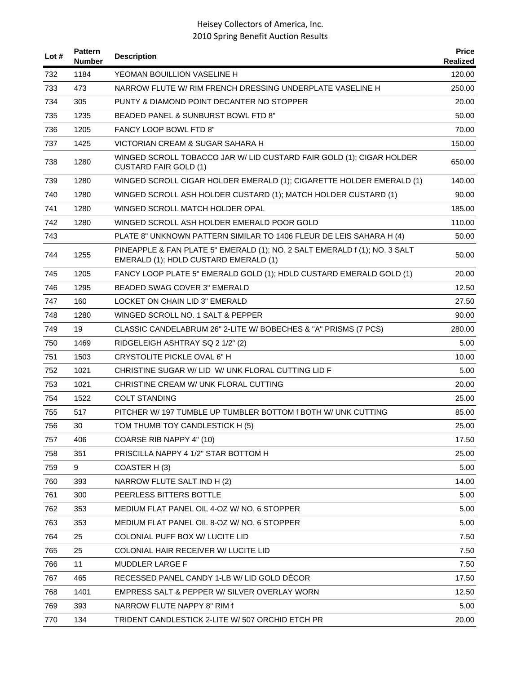| Lot # | <b>Pattern</b><br><b>Number</b> | <b>Description</b>                                                                                                  | <b>Price</b><br>Realized |
|-------|---------------------------------|---------------------------------------------------------------------------------------------------------------------|--------------------------|
| 732   | 1184                            | YEOMAN BOUILLION VASELINE H                                                                                         | 120.00                   |
| 733   | 473                             | NARROW FLUTE W/ RIM FRENCH DRESSING UNDERPLATE VASELINE H                                                           | 250.00                   |
| 734   | 305                             | PUNTY & DIAMOND POINT DECANTER NO STOPPER                                                                           | 20.00                    |
| 735   | 1235                            | BEADED PANEL & SUNBURST BOWL FTD 8"                                                                                 | 50.00                    |
| 736   | 1205                            | <b>FANCY LOOP BOWL FTD 8"</b>                                                                                       | 70.00                    |
| 737   | 1425                            | VICTORIAN CREAM & SUGAR SAHARA H                                                                                    | 150.00                   |
| 738   | 1280                            | WINGED SCROLL TOBACCO JAR W/ LID CUSTARD FAIR GOLD (1); CIGAR HOLDER<br><b>CUSTARD FAIR GOLD (1)</b>                | 650.00                   |
| 739   | 1280                            | WINGED SCROLL CIGAR HOLDER EMERALD (1); CIGARETTE HOLDER EMERALD (1)                                                | 140.00                   |
| 740   | 1280                            | WINGED SCROLL ASH HOLDER CUSTARD (1); MATCH HOLDER CUSTARD (1)                                                      | 90.00                    |
| 741   | 1280                            | WINGED SCROLL MATCH HOLDER OPAL                                                                                     | 185.00                   |
| 742   | 1280                            | WINGED SCROLL ASH HOLDER EMERALD POOR GOLD                                                                          | 110.00                   |
| 743   |                                 | PLATE 8" UNKNOWN PATTERN SIMILAR TO 1406 FLEUR DE LEIS SAHARA H (4)                                                 | 50.00                    |
| 744   | 1255                            | PINEAPPLE & FAN PLATE 5" EMERALD (1); NO. 2 SALT EMERALD f (1); NO. 3 SALT<br>EMERALD (1); HDLD CUSTARD EMERALD (1) | 50.00                    |
| 745   | 1205                            | FANCY LOOP PLATE 5" EMERALD GOLD (1); HDLD CUSTARD EMERALD GOLD (1)                                                 | 20.00                    |
| 746   | 1295                            | <b>BEADED SWAG COVER 3" EMERALD</b>                                                                                 | 12.50                    |
| 747   | 160                             | LOCKET ON CHAIN LID 3" EMERALD                                                                                      | 27.50                    |
| 748   | 1280                            | WINGED SCROLL NO. 1 SALT & PEPPER                                                                                   | 90.00                    |
| 749   | 19                              | CLASSIC CANDELABRUM 26" 2-LITE W/ BOBECHES & "A" PRISMS (7 PCS)                                                     | 280.00                   |
| 750   | 1469                            | RIDGELEIGH ASHTRAY SQ 2 1/2" (2)                                                                                    | 5.00                     |
| 751   | 1503                            | CRYSTOLITE PICKLE OVAL 6" H                                                                                         | 10.00                    |
| 752   | 1021                            | CHRISTINE SUGAR W/ LID W/ UNK FLORAL CUTTING LID F                                                                  | 5.00                     |
| 753   | 1021                            | CHRISTINE CREAM W/ UNK FLORAL CUTTING                                                                               | 20.00                    |
| 754   | 1522                            | <b>COLT STANDING</b>                                                                                                | 25.00                    |
| 755   | 517                             | PITCHER W/ 197 TUMBLE UP TUMBLER BOTTOM f BOTH W/ UNK CUTTING                                                       | 85.00                    |
| 756   | 30                              | TOM THUMB TOY CANDLESTICK H (5)                                                                                     | 25.00                    |
| 757   | 406                             | COARSE RIB NAPPY 4" (10)                                                                                            | 17.50                    |
| 758   | 351                             | PRISCILLA NAPPY 4 1/2" STAR BOTTOM H                                                                                | 25.00                    |
| 759   | 9                               | COASTER H(3)                                                                                                        | 5.00                     |
| 760   | 393                             | NARROW FLUTE SALT IND H (2)                                                                                         | 14.00                    |
| 761   | 300                             | PEERLESS BITTERS BOTTLE                                                                                             | 5.00                     |
| 762   | 353                             | MEDIUM FLAT PANEL OIL 4-OZ W/ NO. 6 STOPPER                                                                         | 5.00                     |
| 763   | 353                             | MEDIUM FLAT PANEL OIL 8-OZ W/ NO. 6 STOPPER                                                                         | 5.00                     |
| 764   | 25                              | COLONIAL PUFF BOX W/ LUCITE LID                                                                                     | 7.50                     |
| 765   | 25                              | COLONIAL HAIR RECEIVER W/ LUCITE LID                                                                                | 7.50                     |
| 766   | 11                              | MUDDLER LARGE F                                                                                                     | 7.50                     |
| 767   | 465                             | RECESSED PANEL CANDY 1-LB W/ LID GOLD DECOR                                                                         | 17.50                    |
| 768   | 1401                            | EMPRESS SALT & PEPPER W/ SILVER OVERLAY WORN                                                                        | 12.50                    |
| 769   | 393                             | NARROW FLUTE NAPPY 8" RIM f                                                                                         | 5.00                     |
| 770   | 134                             | TRIDENT CANDLESTICK 2-LITE W/ 507 ORCHID ETCH PR                                                                    | 20.00                    |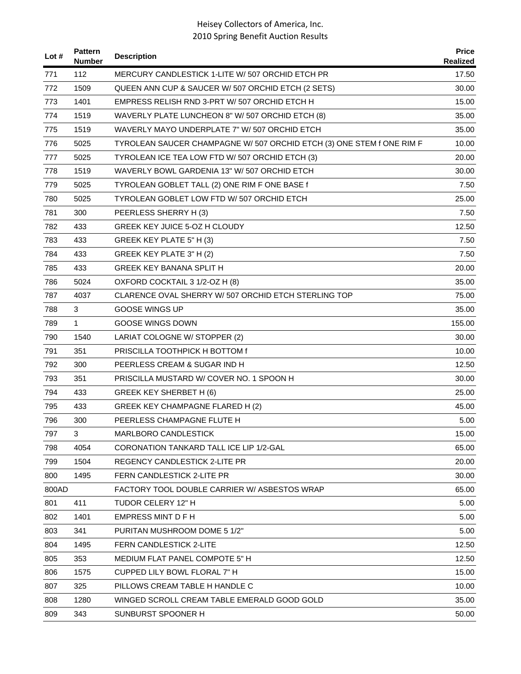| Lot # | <b>Pattern</b><br><b>Number</b> | <b>Description</b>                                                    | <b>Price</b><br>Realized |
|-------|---------------------------------|-----------------------------------------------------------------------|--------------------------|
| 771   | 112                             | MERCURY CANDLESTICK 1-LITE W/507 ORCHID ETCH PR                       | 17.50                    |
| 772   | 1509                            | QUEEN ANN CUP & SAUCER W/ 507 ORCHID ETCH (2 SETS)                    | 30.00                    |
| 773   | 1401                            | EMPRESS RELISH RND 3-PRT W/507 ORCHID ETCH H                          | 15.00                    |
| 774   | 1519                            | WAVERLY PLATE LUNCHEON 8" W/ 507 ORCHID ETCH (8)                      | 35.00                    |
| 775   | 1519                            | WAVERLY MAYO UNDERPLATE 7" W/ 507 ORCHID ETCH                         | 35.00                    |
| 776   | 5025                            | TYROLEAN SAUCER CHAMPAGNE W/ 507 ORCHID ETCH (3) ONE STEM f ONE RIM F | 10.00                    |
| 777   | 5025                            | TYROLEAN ICE TEA LOW FTD W/ 507 ORCHID ETCH (3)                       | 20.00                    |
| 778   | 1519                            | WAVERLY BOWL GARDENIA 13" W/ 507 ORCHID ETCH                          | 30.00                    |
| 779   | 5025                            | TYROLEAN GOBLET TALL (2) ONE RIM F ONE BASE f                         | 7.50                     |
| 780   | 5025                            | TYROLEAN GOBLET LOW FTD W/ 507 ORCHID ETCH                            | 25.00                    |
| 781   | 300                             | PEERLESS SHERRY H (3)                                                 | 7.50                     |
| 782   | 433                             | <b>GREEK KEY JUICE 5-OZ H CLOUDY</b>                                  | 12.50                    |
| 783   | 433                             | GREEK KEY PLATE 5" H (3)                                              | 7.50                     |
| 784   | 433                             | GREEK KEY PLATE 3" H (2)                                              | 7.50                     |
| 785   | 433                             | <b>GREEK KEY BANANA SPLIT H</b>                                       | 20.00                    |
| 786   | 5024                            | OXFORD COCKTAIL 3 1/2-OZ H (8)                                        | 35.00                    |
| 787   | 4037                            | CLARENCE OVAL SHERRY W/ 507 ORCHID ETCH STERLING TOP                  | 75.00                    |
| 788   | 3                               | <b>GOOSE WINGS UP</b>                                                 | 35.00                    |
| 789   | $\mathbf{1}$                    | <b>GOOSE WINGS DOWN</b>                                               | 155.00                   |
| 790   | 1540                            | LARIAT COLOGNE W/ STOPPER (2)                                         | 30.00                    |
| 791   | 351                             | PRISCILLA TOOTHPICK H BOTTOM f                                        | 10.00                    |
| 792   | 300                             | PEERLESS CREAM & SUGAR IND H                                          | 12.50                    |
| 793   | 351                             | PRISCILLA MUSTARD W/ COVER NO. 1 SPOON H                              | 30.00                    |
| 794   | 433                             | <b>GREEK KEY SHERBET H (6)</b>                                        | 25.00                    |
| 795   | 433                             | GREEK KEY CHAMPAGNE FLARED H (2)                                      | 45.00                    |
| 796   | 300                             | PEERLESS CHAMPAGNE FLUTE H                                            | 5.00                     |
| 797   | 3                               | <b>MARLBORO CANDLESTICK</b>                                           | 15.00                    |
| 798   | 4054                            | CORONATION TANKARD TALL ICE LIP 1/2-GAL                               | 65.00                    |
| 799   | 1504                            | REGENCY CANDLESTICK 2-LITE PR                                         | 20.00                    |
| 800   | 1495                            | <b>FERN CANDLESTICK 2-LITE PR</b>                                     | 30.00                    |
| 800AD |                                 | FACTORY TOOL DOUBLE CARRIER W/ ASBESTOS WRAP                          | 65.00                    |
| 801   | 411                             | TUDOR CELERY 12" H                                                    | 5.00                     |
| 802   | 1401                            | EMPRESS MINT D F H                                                    | 5.00                     |
| 803   | 341                             | PURITAN MUSHROOM DOME 5 1/2"                                          | 5.00                     |
| 804   | 1495                            | FERN CANDLESTICK 2-LITE                                               | 12.50                    |
| 805   | 353                             | MEDIUM FLAT PANEL COMPOTE 5" H                                        | 12.50                    |
| 806   | 1575                            | CUPPED LILY BOWL FLORAL 7" H                                          | 15.00                    |
| 807   | 325                             | PILLOWS CREAM TABLE H HANDLE C                                        | 10.00                    |
| 808   | 1280                            | WINGED SCROLL CREAM TABLE EMERALD GOOD GOLD                           | 35.00                    |
| 809   | 343                             | SUNBURST SPOONER H                                                    | 50.00                    |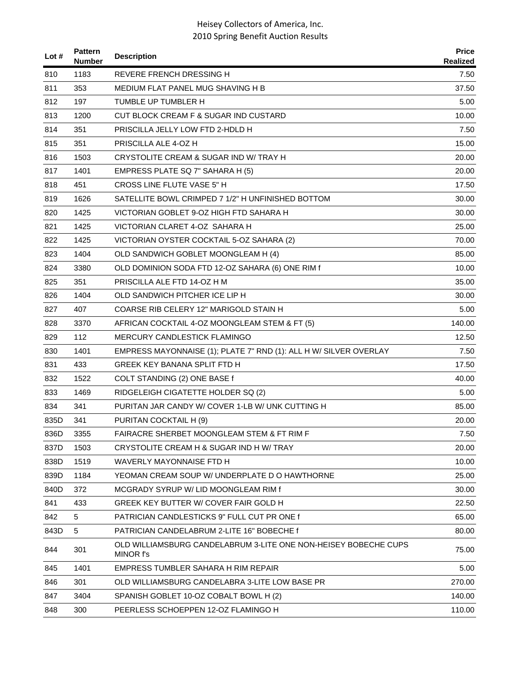| Lot $#$ | <b>Pattern</b><br>Number | <b>Description</b>                                                           | <b>Price</b><br>Realized |
|---------|--------------------------|------------------------------------------------------------------------------|--------------------------|
| 810     | 1183                     | <b>REVERE FRENCH DRESSING H</b>                                              | 7.50                     |
| 811     | 353                      | MEDIUM FLAT PANEL MUG SHAVING H B                                            | 37.50                    |
| 812     | 197                      | TUMBLE UP TUMBLER H                                                          | 5.00                     |
| 813     | 1200                     | CUT BLOCK CREAM F & SUGAR IND CUSTARD                                        | 10.00                    |
| 814     | 351                      | PRISCILLA JELLY LOW FTD 2-HDLD H                                             | 7.50                     |
| 815     | 351                      | PRISCILLA ALE 4-OZ H                                                         | 15.00                    |
| 816     | 1503                     | CRYSTOLITE CREAM & SUGAR IND W/ TRAY H                                       | 20.00                    |
| 817     | 1401                     | EMPRESS PLATE SQ 7" SAHARA H (5)                                             | 20.00                    |
| 818     | 451                      | CROSS LINE FLUTE VASE 5" H                                                   | 17.50                    |
| 819     | 1626                     | SATELLITE BOWL CRIMPED 7 1/2" H UNFINISHED BOTTOM                            | 30.00                    |
| 820     | 1425                     | VICTORIAN GOBLET 9-OZ HIGH FTD SAHARA H                                      | 30.00                    |
| 821     | 1425                     | VICTORIAN CLARET 4-OZ SAHARA H                                               | 25.00                    |
| 822     | 1425                     | VICTORIAN OYSTER COCKTAIL 5-OZ SAHARA (2)                                    | 70.00                    |
| 823     | 1404                     | OLD SANDWICH GOBLET MOONGLEAM H (4)                                          | 85.00                    |
| 824     | 3380                     | OLD DOMINION SODA FTD 12-OZ SAHARA (6) ONE RIM f                             | 10.00                    |
| 825     | 351                      | PRISCILLA ALE FTD 14-OZ H M                                                  | 35.00                    |
| 826     | 1404                     | OLD SANDWICH PITCHER ICE LIP H                                               | 30.00                    |
| 827     | 407                      | COARSE RIB CELERY 12" MARIGOLD STAIN H                                       | 5.00                     |
| 828     | 3370                     | AFRICAN COCKTAIL 4-OZ MOONGLEAM STEM & FT (5)                                | 140.00                   |
| 829     | 112                      | MERCURY CANDLESTICK FLAMINGO                                                 | 12.50                    |
| 830     | 1401                     | EMPRESS MAYONNAISE (1); PLATE 7" RND (1): ALL H W/ SILVER OVERLAY            | 7.50                     |
| 831     | 433                      | GREEK KEY BANANA SPLIT FTD H                                                 | 17.50                    |
| 832     | 1522                     | COLT STANDING (2) ONE BASE f                                                 | 40.00                    |
| 833     | 1469                     | RIDGELEIGH CIGATETTE HOLDER SQ (2)                                           | 5.00                     |
| 834     | 341                      | PURITAN JAR CANDY W/ COVER 1-LB W/ UNK CUTTING H                             | 85.00                    |
| 835D    | 341                      | PURITAN COCKTAIL H (9)                                                       | 20.00                    |
| 836D    | 3355                     | <b>FAIRACRE SHERBET MOONGLEAM STEM &amp; FT RIM F</b>                        | 7.50                     |
| 837D    | 1503                     | CRYSTOLITE CREAM H & SUGAR IND H W/ TRAY                                     | 20.00                    |
| 838D    | 1519                     | WAVERLY MAYONNAISE FTD H                                                     | 10.00                    |
| 839D    | 1184                     | YEOMAN CREAM SOUP W/ UNDERPLATE D O HAWTHORNE                                | 25.00                    |
| 840D    | 372                      | MCGRADY SYRUP W/LID MOONGLEAM RIM f                                          | 30.00                    |
| 841     | 433                      | GREEK KEY BUTTER W/ COVER FAIR GOLD H                                        | 22.50                    |
| 842     | 5                        | PATRICIAN CANDLESTICKS 9" FULL CUT PR ONE f                                  | 65.00                    |
| 843D    | 5                        | PATRICIAN CANDELABRUM 2-LITE 16" BOBECHE f                                   | 80.00                    |
| 844     | 301                      | OLD WILLIAMSBURG CANDELABRUM 3-LITE ONE NON-HEISEY BOBECHE CUPS<br>MINOR f's | 75.00                    |
| 845     | 1401                     | EMPRESS TUMBLER SAHARA H RIM REPAIR                                          | 5.00                     |
| 846     | 301                      | OLD WILLIAMSBURG CANDELABRA 3-LITE LOW BASE PR                               | 270.00                   |
| 847     | 3404                     | SPANISH GOBLET 10-OZ COBALT BOWL H (2)                                       | 140.00                   |
| 848     | 300                      | PEERLESS SCHOEPPEN 12-OZ FLAMINGO H                                          | 110.00                   |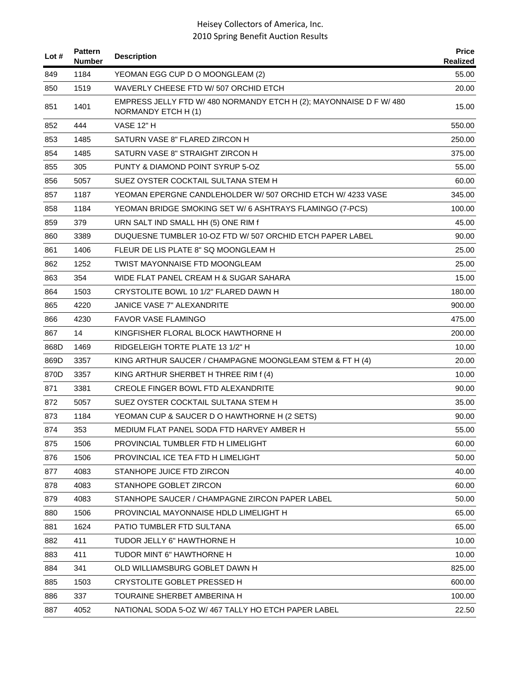| Lot # | <b>Pattern</b><br><b>Number</b> | <b>Description</b>                                                                        | <b>Price</b><br>Realized |
|-------|---------------------------------|-------------------------------------------------------------------------------------------|--------------------------|
| 849   | 1184                            | YEOMAN EGG CUP D O MOONGLEAM (2)                                                          | 55.00                    |
| 850   | 1519                            | WAVERLY CHEESE FTD W/507 ORCHID ETCH                                                      | 20.00                    |
| 851   | 1401                            | EMPRESS JELLY FTD W/ 480 NORMANDY ETCH H (2); MAYONNAISE D F W/ 480<br>NORMANDY ETCH H(1) | 15.00                    |
| 852   | 444                             | <b>VASE 12" H</b>                                                                         | 550.00                   |
| 853   | 1485                            | SATURN VASE 8" FLARED ZIRCON H                                                            | 250.00                   |
| 854   | 1485                            | SATURN VASE 8" STRAIGHT ZIRCON H                                                          | 375.00                   |
| 855   | 305                             | PUNTY & DIAMOND POINT SYRUP 5-OZ                                                          | 55.00                    |
| 856   | 5057                            | SUEZ OYSTER COCKTAIL SULTANA STEM H                                                       | 60.00                    |
| 857   | 1187                            | YEOMAN EPERGNE CANDLEHOLDER W/ 507 ORCHID ETCH W/ 4233 VASE                               | 345.00                   |
| 858   | 1184                            | YEOMAN BRIDGE SMOKING SET W/ 6 ASHTRAYS FLAMINGO (7-PCS)                                  | 100.00                   |
| 859   | 379                             | URN SALT IND SMALL HH (5) ONE RIM f                                                       | 45.00                    |
| 860   | 3389                            | DUQUESNE TUMBLER 10-OZ FTD W/507 ORCHID ETCH PAPER LABEL                                  | 90.00                    |
| 861   | 1406                            | FLEUR DE LIS PLATE 8" SQ MOONGLEAM H                                                      | 25.00                    |
| 862   | 1252                            | <b>TWIST MAYONNAISE FTD MOONGLEAM</b>                                                     | 25.00                    |
| 863   | 354                             | WIDE FLAT PANEL CREAM H & SUGAR SAHARA                                                    | 15.00                    |
| 864   | 1503                            | CRYSTOLITE BOWL 10 1/2" FLARED DAWN H                                                     | 180.00                   |
| 865   | 4220                            | JANICE VASE 7" ALEXANDRITE                                                                | 900.00                   |
| 866   | 4230                            | <b>FAVOR VASE FLAMINGO</b>                                                                | 475.00                   |
| 867   | 14                              | KINGFISHER FLORAL BLOCK HAWTHORNE H                                                       | 200.00                   |
| 868D  | 1469                            | RIDGELEIGH TORTE PLATE 13 1/2" H                                                          | 10.00                    |
| 869D  | 3357                            | KING ARTHUR SAUCER / CHAMPAGNE MOONGLEAM STEM & FT H (4)                                  | 20.00                    |
| 870D  | 3357                            | KING ARTHUR SHERBET H THREE RIM f (4)                                                     | 10.00                    |
| 871   | 3381                            | CREOLE FINGER BOWL FTD ALEXANDRITE                                                        | 90.00                    |
| 872   | 5057                            | SUEZ OYSTER COCKTAIL SULTANA STEM H                                                       | 35.00                    |
| 873   | 1184                            | YEOMAN CUP & SAUCER D O HAWTHORNE H (2 SETS)                                              | 90.00                    |
| 874   | 353                             | MEDIUM FLAT PANEL SODA FTD HARVEY AMBER H                                                 | 55.00                    |
| 875   | 1506                            | PROVINCIAL TUMBLER FTD H LIMELIGHT                                                        | 60.00                    |
| 876   | 1506                            | PROVINCIAL ICE TEA FTD H LIMELIGHT                                                        | 50.00                    |
| 877   | 4083                            | STANHOPE JUICE FTD ZIRCON                                                                 | 40.00                    |
| 878   | 4083                            | STANHOPE GOBLET ZIRCON                                                                    | 60.00                    |
| 879   | 4083                            | STANHOPE SAUCER / CHAMPAGNE ZIRCON PAPER LABEL                                            | 50.00                    |
| 880   | 1506                            | PROVINCIAL MAYONNAISE HDLD LIMELIGHT H                                                    | 65.00                    |
| 881   | 1624                            | PATIO TUMBLER FTD SULTANA                                                                 | 65.00                    |
| 882   | 411                             | TUDOR JELLY 6" HAWTHORNE H                                                                | 10.00                    |
| 883   | 411                             | TUDOR MINT 6" HAWTHORNE H                                                                 | 10.00                    |
| 884   | 341                             | OLD WILLIAMSBURG GOBLET DAWN H                                                            | 825.00                   |
| 885   | 1503                            | CRYSTOLITE GOBLET PRESSED H                                                               | 600.00                   |
| 886   | 337                             | TOURAINE SHERBET AMBERINA H                                                               | 100.00                   |
| 887   | 4052                            | NATIONAL SODA 5-OZ W/ 467 TALLY HO ETCH PAPER LABEL                                       | 22.50                    |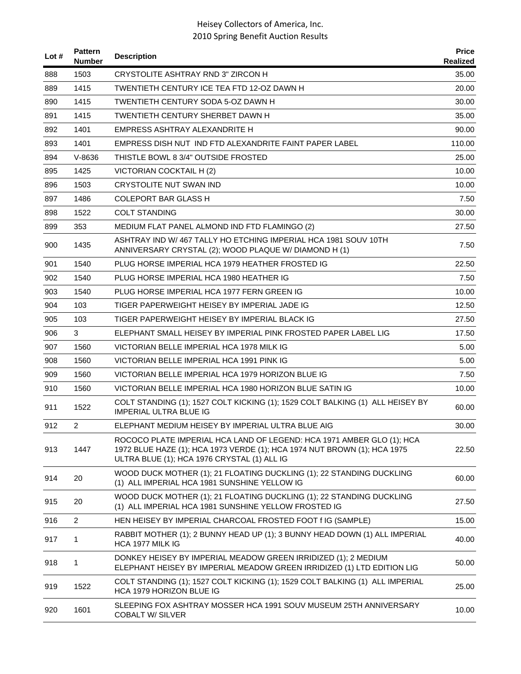| Lot $#$ | <b>Pattern</b><br><b>Number</b> | <b>Description</b>                                                                                                                                                                               | <b>Price</b><br>Realized |
|---------|---------------------------------|--------------------------------------------------------------------------------------------------------------------------------------------------------------------------------------------------|--------------------------|
| 888     | 1503                            | CRYSTOLITE ASHTRAY RND 3" ZIRCON H                                                                                                                                                               | 35.00                    |
| 889     | 1415                            | TWENTIETH CENTURY ICE TEA FTD 12-OZ DAWN H                                                                                                                                                       | 20.00                    |
| 890     | 1415                            | TWENTIETH CENTURY SODA 5-OZ DAWN H                                                                                                                                                               | 30.00                    |
| 891     | 1415                            | <b>TWENTIETH CENTURY SHERBET DAWN H</b>                                                                                                                                                          | 35.00                    |
| 892     | 1401                            | EMPRESS ASHTRAY ALEXANDRITE H                                                                                                                                                                    | 90.00                    |
| 893     | 1401                            | EMPRESS DISH NUT IND FTD ALEXANDRITE FAINT PAPER LABEL                                                                                                                                           | 110.00                   |
| 894     | $V - 8636$                      | THISTLE BOWL 8 3/4" OUTSIDE FROSTED                                                                                                                                                              | 25.00                    |
| 895     | 1425                            | VICTORIAN COCKTAIL H (2)                                                                                                                                                                         | 10.00                    |
| 896     | 1503                            | <b>CRYSTOLITE NUT SWAN IND</b>                                                                                                                                                                   | 10.00                    |
| 897     | 1486                            | <b>COLEPORT BAR GLASS H</b>                                                                                                                                                                      | 7.50                     |
| 898     | 1522                            | <b>COLT STANDING</b>                                                                                                                                                                             | 30.00                    |
| 899     | 353                             | MEDIUM FLAT PANEL ALMOND IND FTD FLAMINGO (2)                                                                                                                                                    | 27.50                    |
| 900     | 1435                            | ASHTRAY IND W/467 TALLY HO ETCHING IMPERIAL HCA 1981 SOUV 10TH<br>ANNIVERSARY CRYSTAL (2); WOOD PLAQUE W/ DIAMOND H (1)                                                                          | 7.50                     |
| 901     | 1540                            | PLUG HORSE IMPERIAL HCA 1979 HEATHER FROSTED IG                                                                                                                                                  | 22.50                    |
| 902     | 1540                            | PLUG HORSE IMPERIAL HCA 1980 HEATHER IG                                                                                                                                                          | 7.50                     |
| 903     | 1540                            | PLUG HORSE IMPERIAL HCA 1977 FERN GREEN IG                                                                                                                                                       | 10.00                    |
| 904     | 103                             | TIGER PAPERWEIGHT HEISEY BY IMPERIAL JADE IG                                                                                                                                                     | 12.50                    |
| 905     | 103                             | TIGER PAPERWEIGHT HEISEY BY IMPERIAL BLACK IG                                                                                                                                                    | 27.50                    |
| 906     | 3                               | ELEPHANT SMALL HEISEY BY IMPERIAL PINK FROSTED PAPER LABEL LIG                                                                                                                                   | 17.50                    |
| 907     | 1560                            | VICTORIAN BELLE IMPERIAL HCA 1978 MILK IG                                                                                                                                                        | 5.00                     |
| 908     | 1560                            | VICTORIAN BELLE IMPERIAL HCA 1991 PINK IG                                                                                                                                                        | 5.00                     |
| 909     | 1560                            | VICTORIAN BELLE IMPERIAL HCA 1979 HORIZON BLUE IG                                                                                                                                                | 7.50                     |
| 910     | 1560                            | VICTORIAN BELLE IMPERIAL HCA 1980 HORIZON BLUE SATIN IG                                                                                                                                          | 10.00                    |
| 911     | 1522                            | COLT STANDING (1); 1527 COLT KICKING (1); 1529 COLT BALKING (1) ALL HEISEY BY<br><b>IMPERIAL ULTRA BLUE IG</b>                                                                                   | 60.00                    |
| 912     | $\overline{2}$                  | ELEPHANT MEDIUM HEISEY BY IMPERIAL ULTRA BLUE AIG                                                                                                                                                | 30.00                    |
| 913     | 1447                            | ROCOCO PLATE IMPERIAL HCA LAND OF LEGEND: HCA 1971 AMBER GLO (1); HCA<br>1972 BLUE HAZE (1); HCA 1973 VERDE (1); HCA 1974 NUT BROWN (1); HCA 1975<br>ULTRA BLUE (1); HCA 1976 CRYSTAL (1) ALL IG | 22.50                    |
| 914     | 20                              | WOOD DUCK MOTHER (1); 21 FLOATING DUCKLING (1); 22 STANDING DUCKLING<br>(1) ALL IMPERIAL HCA 1981 SUNSHINE YELLOW IG                                                                             | 60.00                    |
| 915     | 20                              | WOOD DUCK MOTHER (1); 21 FLOATING DUCKLING (1); 22 STANDING DUCKLING<br>(1) ALL IMPERIAL HCA 1981 SUNSHINE YELLOW FROSTED IG                                                                     | 27.50                    |
| 916     | $\overline{c}$                  | HEN HEISEY BY IMPERIAL CHARCOAL FROSTED FOOT f IG (SAMPLE)                                                                                                                                       | 15.00                    |
| 917     | 1                               | RABBIT MOTHER (1); 2 BUNNY HEAD UP (1); 3 BUNNY HEAD DOWN (1) ALL IMPERIAL<br>HCA 1977 MILK IG                                                                                                   | 40.00                    |
| 918     | 1                               | DONKEY HEISEY BY IMPERIAL MEADOW GREEN IRRIDIZED (1); 2 MEDIUM<br>ELEPHANT HEISEY BY IMPERIAL MEADOW GREEN IRRIDIZED (1) LTD EDITION LIG                                                         | 50.00                    |
| 919     | 1522                            | COLT STANDING (1); 1527 COLT KICKING (1); 1529 COLT BALKING (1) ALL IMPERIAL<br>HCA 1979 HORIZON BLUE IG                                                                                         | 25.00                    |
| 920     | 1601                            | SLEEPING FOX ASHTRAY MOSSER HCA 1991 SOUV MUSEUM 25TH ANNIVERSARY<br><b>COBALT W/ SILVER</b>                                                                                                     | 10.00                    |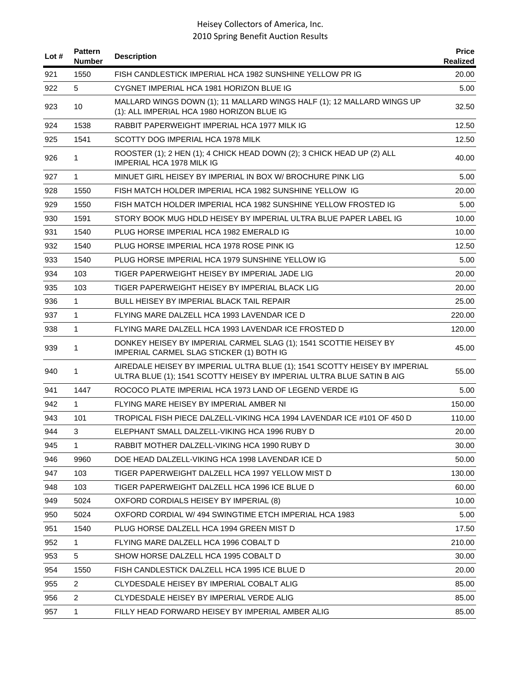| Lot $#$ | <b>Pattern</b><br><b>Number</b> | <b>Description</b>                                                                                                                                  | <b>Price</b><br>Realized |
|---------|---------------------------------|-----------------------------------------------------------------------------------------------------------------------------------------------------|--------------------------|
| 921     | 1550                            | FISH CANDLESTICK IMPERIAL HCA 1982 SUNSHINE YELLOW PR IG                                                                                            | 20.00                    |
| 922     | 5                               | CYGNET IMPERIAL HCA 1981 HORIZON BLUE IG                                                                                                            | 5.00                     |
| 923     | 10                              | MALLARD WINGS DOWN (1); 11 MALLARD WINGS HALF (1); 12 MALLARD WINGS UP<br>(1): ALL IMPERIAL HCA 1980 HORIZON BLUE IG                                | 32.50                    |
| 924     | 1538                            | RABBIT PAPERWEIGHT IMPERIAL HCA 1977 MILK IG                                                                                                        | 12.50                    |
| 925     | 1541                            | SCOTTY DOG IMPERIAL HCA 1978 MILK                                                                                                                   | 12.50                    |
| 926     | 1                               | ROOSTER (1); 2 HEN (1); 4 CHICK HEAD DOWN (2); 3 CHICK HEAD UP (2) ALL<br>IMPERIAL HCA 1978 MILK IG                                                 | 40.00                    |
| 927     | 1                               | MINUET GIRL HEISEY BY IMPERIAL IN BOX W/ BROCHURE PINK LIG                                                                                          | 5.00                     |
| 928     | 1550                            | FISH MATCH HOLDER IMPERIAL HCA 1982 SUNSHINE YELLOW IG                                                                                              | 20.00                    |
| 929     | 1550                            | FISH MATCH HOLDER IMPERIAL HCA 1982 SUNSHINE YELLOW FROSTED IG                                                                                      | 5.00                     |
| 930     | 1591                            | STORY BOOK MUG HDLD HEISEY BY IMPERIAL ULTRA BLUE PAPER LABEL IG                                                                                    | 10.00                    |
| 931     | 1540                            | PLUG HORSE IMPERIAL HCA 1982 EMERALD IG                                                                                                             | 10.00                    |
| 932     | 1540                            | PLUG HORSE IMPERIAL HCA 1978 ROSE PINK IG                                                                                                           | 12.50                    |
| 933     | 1540                            | PLUG HORSE IMPERIAL HCA 1979 SUNSHINE YELLOW IG                                                                                                     | 5.00                     |
| 934     | 103                             | TIGER PAPERWEIGHT HEISEY BY IMPERIAL JADE LIG                                                                                                       | 20.00                    |
| 935     | 103                             | TIGER PAPERWEIGHT HEISEY BY IMPERIAL BLACK LIG                                                                                                      | 20.00                    |
| 936     | $\mathbf{1}$                    | BULL HEISEY BY IMPERIAL BLACK TAIL REPAIR                                                                                                           | 25.00                    |
| 937     | 1                               | FLYING MARE DALZELL HCA 1993 LAVENDAR ICE D                                                                                                         | 220.00                   |
| 938     | 1                               | FLYING MARE DALZELL HCA 1993 LAVENDAR ICE FROSTED D                                                                                                 | 120.00                   |
| 939     | 1                               | DONKEY HEISEY BY IMPERIAL CARMEL SLAG (1); 1541 SCOTTIE HEISEY BY<br>IMPERIAL CARMEL SLAG STICKER (1) BOTH IG                                       | 45.00                    |
| 940     | 1                               | AIREDALE HEISEY BY IMPERIAL ULTRA BLUE (1); 1541 SCOTTY HEISEY BY IMPERIAL<br>ULTRA BLUE (1); 1541 SCOTTY HEISEY BY IMPERIAL ULTRA BLUE SATIN B AIG | 55.00                    |
| 941     | 1447                            | ROCOCO PLATE IMPERIAL HCA 1973 LAND OF LEGEND VERDE IG                                                                                              | 5.00                     |
| 942     | $\mathbf{1}$                    | FLYING MARE HEISEY BY IMPERIAL AMBER NI                                                                                                             | 150.00                   |
| 943     | 101                             | TROPICAL FISH PIECE DALZELL-VIKING HCA 1994 LAVENDAR ICE #101 OF 450 D                                                                              | 110.00                   |
| 944     | 3                               | ELEPHANT SMALL DALZELL-VIKING HCA 1996 RUBY D                                                                                                       | 20.00                    |
| 945     | 1                               | RABBIT MOTHER DALZELL-VIKING HCA 1990 RUBY D                                                                                                        | 30.00                    |
| 946     | 9960                            | DOE HEAD DALZELL-VIKING HCA 1998 LAVENDAR ICE D                                                                                                     | 50.00                    |
| 947     | 103                             | TIGER PAPERWEIGHT DALZELL HCA 1997 YELLOW MIST D                                                                                                    | 130.00                   |
| 948     | 103                             | TIGER PAPERWEIGHT DALZELL HCA 1996 ICE BLUE D                                                                                                       | 60.00                    |
| 949     | 5024                            | OXFORD CORDIALS HEISEY BY IMPERIAL (8)                                                                                                              | 10.00                    |
| 950     | 5024                            | OXFORD CORDIAL W/494 SWINGTIME ETCH IMPERIAL HCA 1983                                                                                               | 5.00                     |
| 951     | 1540                            | PLUG HORSE DALZELL HCA 1994 GREEN MIST D                                                                                                            | 17.50                    |
| 952     | 1                               | FLYING MARE DALZELL HCA 1996 COBALT D                                                                                                               | 210.00                   |
| 953     | 5                               | SHOW HORSE DALZELL HCA 1995 COBALT D                                                                                                                | 30.00                    |
| 954     | 1550                            | FISH CANDLESTICK DALZELL HCA 1995 ICE BLUE D                                                                                                        | 20.00                    |
| 955     | $\overline{2}$                  | CLYDESDALE HEISEY BY IMPERIAL COBALT ALIG                                                                                                           | 85.00                    |
| 956     | $\overline{2}$                  | CLYDESDALE HEISEY BY IMPERIAL VERDE ALIG                                                                                                            | 85.00                    |
| 957     | 1                               | FILLY HEAD FORWARD HEISEY BY IMPERIAL AMBER ALIG                                                                                                    | 85.00                    |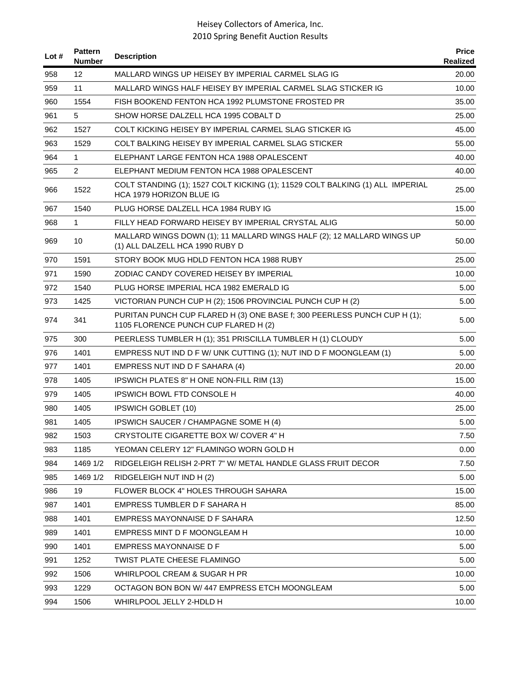| Lot # | <b>Pattern</b><br><b>Number</b> | <b>Description</b>                                                                                               | <b>Price</b><br>Realized |
|-------|---------------------------------|------------------------------------------------------------------------------------------------------------------|--------------------------|
| 958   | 12                              | MALLARD WINGS UP HEISEY BY IMPERIAL CARMEL SLAG IG                                                               | 20.00                    |
| 959   | 11                              | MALLARD WINGS HALF HEISEY BY IMPERIAL CARMEL SLAG STICKER IG                                                     | 10.00                    |
| 960   | 1554                            | FISH BOOKEND FENTON HCA 1992 PLUMSTONE FROSTED PR                                                                | 35.00                    |
| 961   | 5                               | SHOW HORSE DALZELL HCA 1995 COBALT D                                                                             | 25.00                    |
| 962   | 1527                            | COLT KICKING HEISEY BY IMPERIAL CARMEL SLAG STICKER IG                                                           | 45.00                    |
| 963   | 1529                            | COLT BALKING HEISEY BY IMPERIAL CARMEL SLAG STICKER                                                              | 55.00                    |
| 964   | $\mathbf{1}$                    | ELEPHANT LARGE FENTON HCA 1988 OPALESCENT                                                                        | 40.00                    |
| 965   | $\overline{2}$                  | ELEPHANT MEDIUM FENTON HCA 1988 OPALESCENT                                                                       | 40.00                    |
| 966   | 1522                            | COLT STANDING (1); 1527 COLT KICKING (1); 11529 COLT BALKING (1) ALL IMPERIAL<br>HCA 1979 HORIZON BLUE IG        | 25.00                    |
| 967   | 1540                            | PLUG HORSE DALZELL HCA 1984 RUBY IG                                                                              | 15.00                    |
| 968   | $\mathbf{1}$                    | FILLY HEAD FORWARD HEISEY BY IMPERIAL CRYSTAL ALIG                                                               | 50.00                    |
| 969   | 10                              | MALLARD WINGS DOWN (1); 11 MALLARD WINGS HALF (2); 12 MALLARD WINGS UP<br>(1) ALL DALZELL HCA 1990 RUBY D        | 50.00                    |
| 970   | 1591                            | STORY BOOK MUG HDLD FENTON HCA 1988 RUBY                                                                         | 25.00                    |
| 971   | 1590                            | ZODIAC CANDY COVERED HEISEY BY IMPERIAL                                                                          | 10.00                    |
| 972   | 1540                            | PLUG HORSE IMPERIAL HCA 1982 EMERALD IG                                                                          | 5.00                     |
| 973   | 1425                            | VICTORIAN PUNCH CUP H (2); 1506 PROVINCIAL PUNCH CUP H (2)                                                       | 5.00                     |
| 974   | 341                             | PURITAN PUNCH CUP FLARED H (3) ONE BASE f; 300 PEERLESS PUNCH CUP H (1);<br>1105 FLORENCE PUNCH CUP FLARED H (2) | 5.00                     |
| 975   | 300                             | PEERLESS TUMBLER H (1); 351 PRISCILLA TUMBLER H (1) CLOUDY                                                       | 5.00                     |
| 976   | 1401                            | EMPRESS NUT IND D F W/ UNK CUTTING (1); NUT IND D F MOONGLEAM (1)                                                | 5.00                     |
| 977   | 1401                            | EMPRESS NUT IND D F SAHARA (4)                                                                                   | 20.00                    |
| 978   | 1405                            | IPSWICH PLATES 8" H ONE NON-FILL RIM (13)                                                                        | 15.00                    |
| 979   | 1405                            | <b>IPSWICH BOWL FTD CONSOLE H</b>                                                                                | 40.00                    |
| 980   | 1405                            | <b>IPSWICH GOBLET (10)</b>                                                                                       | 25.00                    |
| 981   | 1405                            | <b>IPSWICH SAUCER / CHAMPAGNE SOME H (4)</b>                                                                     | 5.00                     |
| 982   | 1503                            | CRYSTOLITE CIGARETTE BOX W/ COVER 4" H                                                                           | 7.50                     |
| 983   | 1185                            | YEOMAN CELERY 12" FLAMINGO WORN GOLD H                                                                           | 0.00                     |
| 984   | 1469 1/2                        | RIDGELEIGH RELISH 2-PRT 7" W/ METAL HANDLE GLASS FRUIT DECOR                                                     | 7.50                     |
| 985   | 1469 1/2                        | RIDGELEIGH NUT IND H (2)                                                                                         | 5.00                     |
| 986   | 19                              | FLOWER BLOCK 4" HOLES THROUGH SAHARA                                                                             | 15.00                    |
| 987   | 1401                            | EMPRESS TUMBLER D F SAHARA H                                                                                     | 85.00                    |
| 988   | 1401                            | EMPRESS MAYONNAISE D F SAHARA                                                                                    | 12.50                    |
| 989   | 1401                            | EMPRESS MINT D F MOONGLEAM H                                                                                     | 10.00                    |
| 990   | 1401                            | EMPRESS MAYONNAISE D F                                                                                           | 5.00                     |
| 991   | 1252                            | <b>TWIST PLATE CHEESE FLAMINGO</b>                                                                               | 5.00                     |
| 992   | 1506                            | WHIRLPOOL CREAM & SUGAR H PR                                                                                     | 10.00                    |
| 993   | 1229                            | OCTAGON BON BON W/447 EMPRESS ETCH MOONGLEAM                                                                     | 5.00                     |
| 994   | 1506                            | WHIRLPOOL JELLY 2-HDLD H                                                                                         | 10.00                    |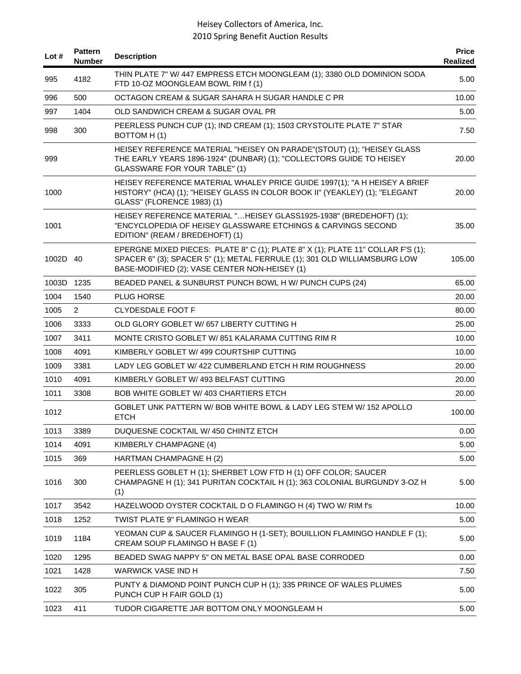| Lot #      | <b>Pattern</b><br><b>Number</b> | <b>Description</b>                                                                                                                                                                                            | <b>Price</b><br>Realized |
|------------|---------------------------------|---------------------------------------------------------------------------------------------------------------------------------------------------------------------------------------------------------------|--------------------------|
| 995        | 4182                            | THIN PLATE 7" W/ 447 EMPRESS ETCH MOONGLEAM (1); 3380 OLD DOMINION SODA<br>FTD 10-OZ MOONGLEAM BOWL RIM f (1)                                                                                                 | 5.00                     |
| 996        | 500                             | OCTAGON CREAM & SUGAR SAHARA H SUGAR HANDLE C PR                                                                                                                                                              | 10.00                    |
| 997        | 1404                            | OLD SANDWICH CREAM & SUGAR OVAL PR                                                                                                                                                                            | 5.00                     |
| 998        | 300                             | PEERLESS PUNCH CUP (1); IND CREAM (1); 1503 CRYSTOLITE PLATE 7" STAR<br>BOTTOM H(1)                                                                                                                           | 7.50                     |
| 999        |                                 | HEISEY REFERENCE MATERIAL "HEISEY ON PARADE"(STOUT) (1); "HEISEY GLASS<br>THE EARLY YEARS 1896-1924" (DUNBAR) (1); "COLLECTORS GUIDE TO HEISEY<br><b>GLASSWARE FOR YOUR TABLE" (1)</b>                        | 20.00                    |
| 1000       |                                 | HEISEY REFERENCE MATERIAL WHALEY PRICE GUIDE 1997(1); "A H HEISEY A BRIEF<br>HISTORY" (HCA) (1); "HEISEY GLASS IN COLOR BOOK II" (YEAKLEY) (1); "ELEGANT<br>GLASS" (FLORENCE 1983) (1)                        | 20.00                    |
| 1001       |                                 | HEISEY REFERENCE MATERIAL "HEISEY GLASS1925-1938" (BREDEHOFT) (1);<br>"ENCYCLOPEDIA OF HEISEY GLASSWARE ETCHINGS & CARVINGS SECOND<br>EDITION" (REAM / BREDEHOFT) (1)                                         | 35.00                    |
| 1002D 40   |                                 | EPERGNE MIXED PIECES: PLATE 8" C (1); PLATE 8" X (1); PLATE 11" COLLAR F'S (1);<br>SPACER 6" (3); SPACER 5" (1); METAL FERRULE (1); 301 OLD WILLIAMSBURG LOW<br>BASE-MODIFIED (2); VASE CENTER NON-HEISEY (1) | 105.00                   |
| 1003D 1235 |                                 | BEADED PANEL & SUNBURST PUNCH BOWL H W/ PUNCH CUPS (24)                                                                                                                                                       | 65.00                    |
| 1004       | 1540                            | <b>PLUG HORSE</b>                                                                                                                                                                                             | 20.00                    |
| 1005       | $\overline{2}$                  | <b>CLYDESDALE FOOT F</b>                                                                                                                                                                                      | 80.00                    |
| 1006       | 3333                            | OLD GLORY GOBLET W/657 LIBERTY CUTTING H                                                                                                                                                                      | 25.00                    |
| 1007       | 3411                            | MONTE CRISTO GOBLET W/851 KALARAMA CUTTING RIM R                                                                                                                                                              | 10.00                    |
| 1008       | 4091                            | KIMBERLY GOBLET W/ 499 COURTSHIP CUTTING                                                                                                                                                                      | 10.00                    |
| 1009       | 3381                            | LADY LEG GOBLET W/ 422 CUMBERLAND ETCH H RIM ROUGHNESS                                                                                                                                                        | 20.00                    |
| 1010       | 4091                            | KIMBERLY GOBLET W/ 493 BELFAST CUTTING                                                                                                                                                                        | 20.00                    |
| 1011       | 3308                            | <b>BOB WHITE GOBLET W/403 CHARTIERS ETCH</b>                                                                                                                                                                  | 20.00                    |
| 1012       |                                 | GOBLET UNK PATTERN W/BOB WHITE BOWL & LADY LEG STEM W/152 APOLLO<br><b>ETCH</b>                                                                                                                               | 100.00                   |
| 1013       | 3389                            | DUQUESNE COCKTAIL W/450 CHINTZ ETCH                                                                                                                                                                           | 0.00                     |
| 1014       | 4091                            | KIMBERLY CHAMPAGNE (4)                                                                                                                                                                                        | 5.00                     |
| 1015       | 369                             | HARTMAN CHAMPAGNE H (2)                                                                                                                                                                                       | 5.00                     |
| 1016       | 300                             | PEERLESS GOBLET H (1); SHERBET LOW FTD H (1) OFF COLOR; SAUCER<br>CHAMPAGNE H (1); 341 PURITAN COCKTAIL H (1); 363 COLONIAL BURGUNDY 3-OZ H<br>(1)                                                            | 5.00                     |
| 1017       | 3542                            | HAZELWOOD OYSTER COCKTAIL D O FLAMINGO H (4) TWO W/ RIM f's                                                                                                                                                   | 10.00                    |
| 1018       | 1252                            | TWIST PLATE 9" FLAMINGO H WEAR                                                                                                                                                                                | 5.00                     |
| 1019       | 1184                            | YEOMAN CUP & SAUCER FLAMINGO H (1-SET); BOUILLION FLAMINGO HANDLE F (1);<br>CREAM SOUP FLAMINGO H BASE F (1)                                                                                                  | 5.00                     |
| 1020       | 1295                            | BEADED SWAG NAPPY 5" ON METAL BASE OPAL BASE CORRODED                                                                                                                                                         | 0.00                     |
| 1021       | 1428                            | <b>WARWICK VASE IND H</b>                                                                                                                                                                                     | 7.50                     |
| 1022       | 305                             | PUNTY & DIAMOND POINT PUNCH CUP H (1); 335 PRINCE OF WALES PLUMES<br>PUNCH CUP H FAIR GOLD (1)                                                                                                                | 5.00                     |
| 1023       | 411                             | TUDOR CIGARETTE JAR BOTTOM ONLY MOONGLEAM H                                                                                                                                                                   | 5.00                     |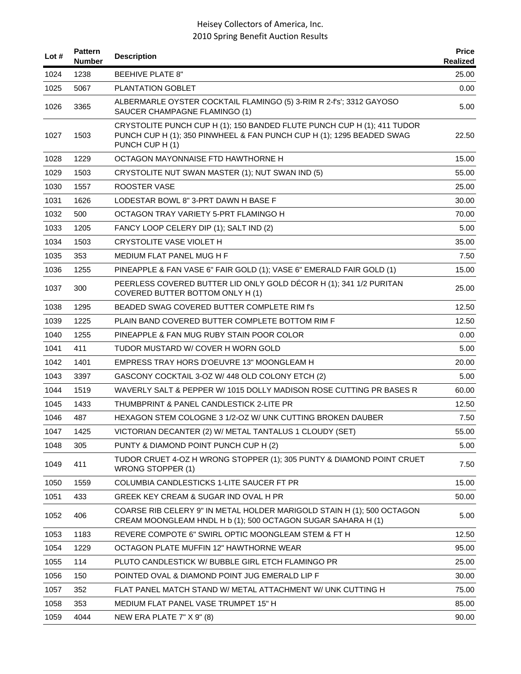| Lot $#$ | <b>Pattern</b><br><b>Number</b> | <b>Description</b>                                                                                                                                                  | <b>Price</b><br><b>Realized</b> |
|---------|---------------------------------|---------------------------------------------------------------------------------------------------------------------------------------------------------------------|---------------------------------|
| 1024    | 1238                            | <b>BEEHIVE PLATE 8"</b>                                                                                                                                             | 25.00                           |
| 1025    | 5067                            | PLANTATION GOBLET                                                                                                                                                   | 0.00                            |
| 1026    | 3365                            | ALBERMARLE OYSTER COCKTAIL FLAMINGO (5) 3-RIM R 2-f's'; 3312 GAYOSO<br>SAUCER CHAMPAGNE FLAMINGO (1)                                                                | 5.00                            |
| 1027    | 1503                            | CRYSTOLITE PUNCH CUP H (1); 150 BANDED FLUTE PUNCH CUP H (1); 411 TUDOR<br>PUNCH CUP H (1); 350 PINWHEEL & FAN PUNCH CUP H (1); 1295 BEADED SWAG<br>PUNCH CUP H (1) | 22.50                           |
| 1028    | 1229                            | OCTAGON MAYONNAISE FTD HAWTHORNE H                                                                                                                                  | 15.00                           |
| 1029    | 1503                            | CRYSTOLITE NUT SWAN MASTER (1); NUT SWAN IND (5)                                                                                                                    | 55.00                           |
| 1030    | 1557                            | <b>ROOSTER VASE</b>                                                                                                                                                 | 25.00                           |
| 1031    | 1626                            | LODESTAR BOWL 8" 3-PRT DAWN H BASE F                                                                                                                                | 30.00                           |
| 1032    | 500                             | OCTAGON TRAY VARIETY 5-PRT FLAMINGO H                                                                                                                               | 70.00                           |
| 1033    | 1205                            | FANCY LOOP CELERY DIP (1); SALT IND (2)                                                                                                                             | 5.00                            |
| 1034    | 1503                            | CRYSTOLITE VASE VIOLET H                                                                                                                                            | 35.00                           |
| 1035    | 353                             | MEDIUM FLAT PANEL MUG H F                                                                                                                                           | 7.50                            |
| 1036    | 1255                            | PINEAPPLE & FAN VASE 6" FAIR GOLD (1); VASE 6" EMERALD FAIR GOLD (1)                                                                                                | 15.00                           |
| 1037    | 300                             | PEERLESS COVERED BUTTER LID ONLY GOLD DÉCOR H (1); 341 1/2 PURITAN<br>COVERED BUTTER BOTTOM ONLY H (1)                                                              | 25.00                           |
| 1038    | 1295                            | BEADED SWAG COVERED BUTTER COMPLETE RIM f's                                                                                                                         | 12.50                           |
| 1039    | 1225                            | PLAIN BAND COVERED BUTTER COMPLETE BOTTOM RIM F                                                                                                                     | 12.50                           |
| 1040    | 1255                            | PINEAPPLE & FAN MUG RUBY STAIN POOR COLOR                                                                                                                           | 0.00                            |
| 1041    | 411                             | TUDOR MUSTARD W/ COVER H WORN GOLD                                                                                                                                  | 5.00                            |
| 1042    | 1401                            | EMPRESS TRAY HORS D'OEUVRE 13" MOONGLEAM H                                                                                                                          | 20.00                           |
| 1043    | 3397                            | GASCONY COCKTAIL 3-OZ W/ 448 OLD COLONY ETCH (2)                                                                                                                    | 5.00                            |
| 1044    | 1519                            | WAVERLY SALT & PEPPER W/1015 DOLLY MADISON ROSE CUTTING PR BASES R                                                                                                  | 60.00                           |
| 1045    | 1433                            | THUMBPRINT & PANEL CANDLESTICK 2-LITE PR                                                                                                                            | 12.50                           |
| 1046    | 487                             | HEXAGON STEM COLOGNE 3 1/2-OZ W/ UNK CUTTING BROKEN DAUBER                                                                                                          | 7.50                            |
| 1047    | 1425                            | VICTORIAN DECANTER (2) W/ METAL TANTALUS 1 CLOUDY (SET)                                                                                                             | 55.00                           |
| 1048    | 305                             | PUNTY & DIAMOND POINT PUNCH CUP H (2)                                                                                                                               | 5.00                            |
| 1049    | 411                             | TUDOR CRUET 4-OZ H WRONG STOPPER (1); 305 PUNTY & DIAMOND POINT CRUET<br><b>WRONG STOPPER (1)</b>                                                                   | 7.50                            |
| 1050    | 1559                            | COLUMBIA CANDLESTICKS 1-LITE SAUCER FT PR                                                                                                                           | 15.00                           |
| 1051    | 433                             | GREEK KEY CREAM & SUGAR IND OVAL H PR                                                                                                                               | 50.00                           |
| 1052    | 406                             | COARSE RIB CELERY 9" IN METAL HOLDER MARIGOLD STAIN H (1); 500 OCTAGON<br>CREAM MOONGLEAM HNDL H b (1); 500 OCTAGON SUGAR SAHARA H (1)                              | 5.00                            |
| 1053    | 1183                            | REVERE COMPOTE 6" SWIRL OPTIC MOONGLEAM STEM & FT H                                                                                                                 | 12.50                           |
| 1054    | 1229                            | OCTAGON PLATE MUFFIN 12" HAWTHORNE WEAR                                                                                                                             | 95.00                           |
| 1055    | 114                             | PLUTO CANDLESTICK W/ BUBBLE GIRL ETCH FLAMINGO PR                                                                                                                   | 25.00                           |
| 1056    | 150                             | POINTED OVAL & DIAMOND POINT JUG EMERALD LIP F                                                                                                                      | 30.00                           |
| 1057    | 352                             | FLAT PANEL MATCH STAND W/ METAL ATTACHMENT W/ UNK CUTTING H                                                                                                         | 75.00                           |
| 1058    | 353                             | MEDIUM FLAT PANEL VASE TRUMPET 15" H                                                                                                                                | 85.00                           |
| 1059    | 4044                            | NEW ERA PLATE 7" X 9" (8)                                                                                                                                           | 90.00                           |